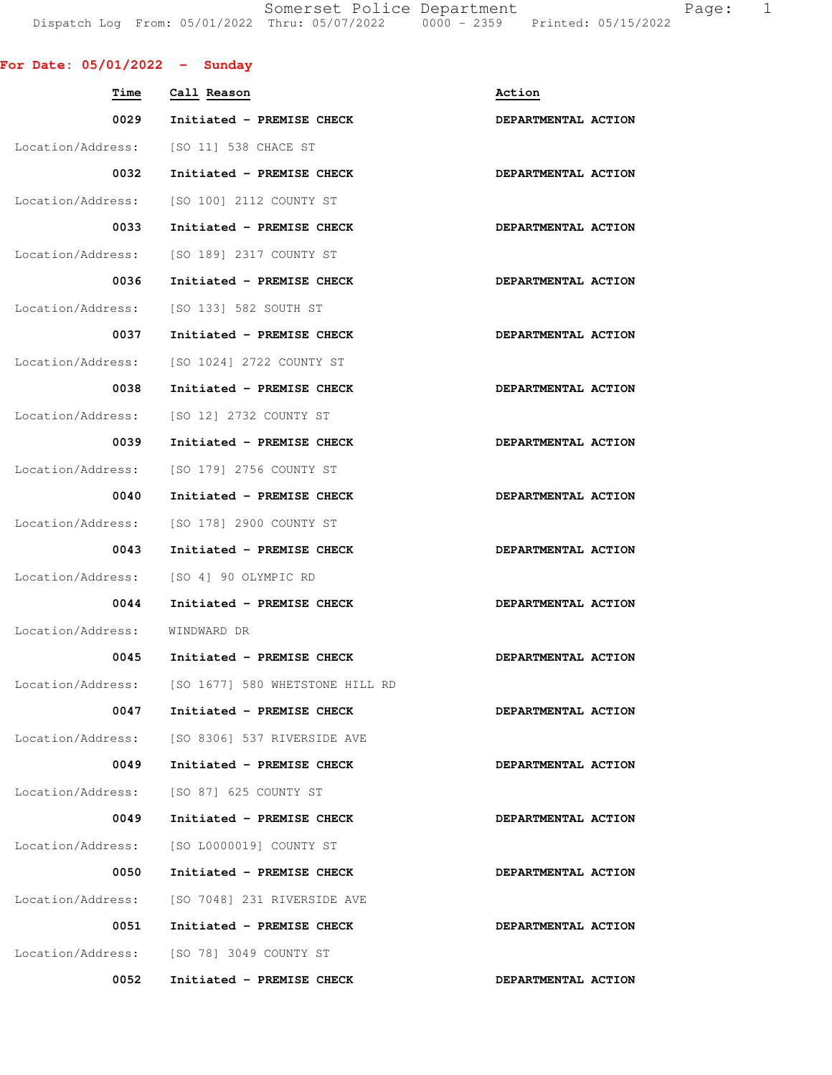Somerset Police Department Fage: 1 Dispatch Log From: 05/01/2022 Thru: 05/07/2022 0000 - 2359 Printed: 05/15/2022

|  | For Date: $05/01/2022 -$ Sunday |  |
|--|---------------------------------|--|

| Time              | Call Reason                                       | Action              |
|-------------------|---------------------------------------------------|---------------------|
| 0029              | Initiated - PREMISE CHECK                         | DEPARTMENTAL ACTION |
| Location/Address: | [SO 11] 538 CHACE ST                              |                     |
| 0032              | Initiated - PREMISE CHECK                         | DEPARTMENTAL ACTION |
| Location/Address: | [SO 100] 2112 COUNTY ST                           |                     |
| 0033              | Initiated - PREMISE CHECK                         | DEPARTMENTAL ACTION |
| Location/Address: | [SO 189] 2317 COUNTY ST                           |                     |
| 0036              | Initiated - PREMISE CHECK                         | DEPARTMENTAL ACTION |
| Location/Address: | [SO 133] 582 SOUTH ST                             |                     |
| 0037              | Initiated - PREMISE CHECK                         | DEPARTMENTAL ACTION |
| Location/Address: | [SO 1024] 2722 COUNTY ST                          |                     |
| 0038              | Initiated - PREMISE CHECK                         | DEPARTMENTAL ACTION |
| Location/Address: | [SO 12] 2732 COUNTY ST                            |                     |
| 0039              | Initiated - PREMISE CHECK                         | DEPARTMENTAL ACTION |
| Location/Address: | [SO 179] 2756 COUNTY ST                           |                     |
| 0040              | Initiated - PREMISE CHECK                         | DEPARTMENTAL ACTION |
| Location/Address: | [SO 178] 2900 COUNTY ST                           |                     |
| 0043              | Initiated - PREMISE CHECK                         | DEPARTMENTAL ACTION |
| Location/Address: | [SO 4] 90 OLYMPIC RD                              |                     |
| 0044              | Initiated - PREMISE CHECK                         | DEPARTMENTAL ACTION |
| Location/Address: | WINDWARD DR                                       |                     |
| 0045              | Initiated - PREMISE CHECK                         | DEPARTMENTAL ACTION |
|                   | Location/Address: [SO 1677] 580 WHETSTONE HILL RD |                     |
| 0047              | Initiated - PREMISE CHECK                         | DEPARTMENTAL ACTION |
|                   | Location/Address: [SO 8306] 537 RIVERSIDE AVE     |                     |
| 0049              | Initiated - PREMISE CHECK                         | DEPARTMENTAL ACTION |
| Location/Address: | [SO 87] 625 COUNTY ST                             |                     |
| 0049              | Initiated - PREMISE CHECK                         | DEPARTMENTAL ACTION |
| Location/Address: | [SO L0000019] COUNTY ST                           |                     |
| 0050              | Initiated - PREMISE CHECK                         | DEPARTMENTAL ACTION |
|                   | Location/Address: [SO 7048] 231 RIVERSIDE AVE     |                     |
| 0051              | Initiated - PREMISE CHECK                         | DEPARTMENTAL ACTION |
|                   | Location/Address: [SO 78] 3049 COUNTY ST          |                     |
| 0052              | Initiated - PREMISE CHECK                         | DEPARTMENTAL ACTION |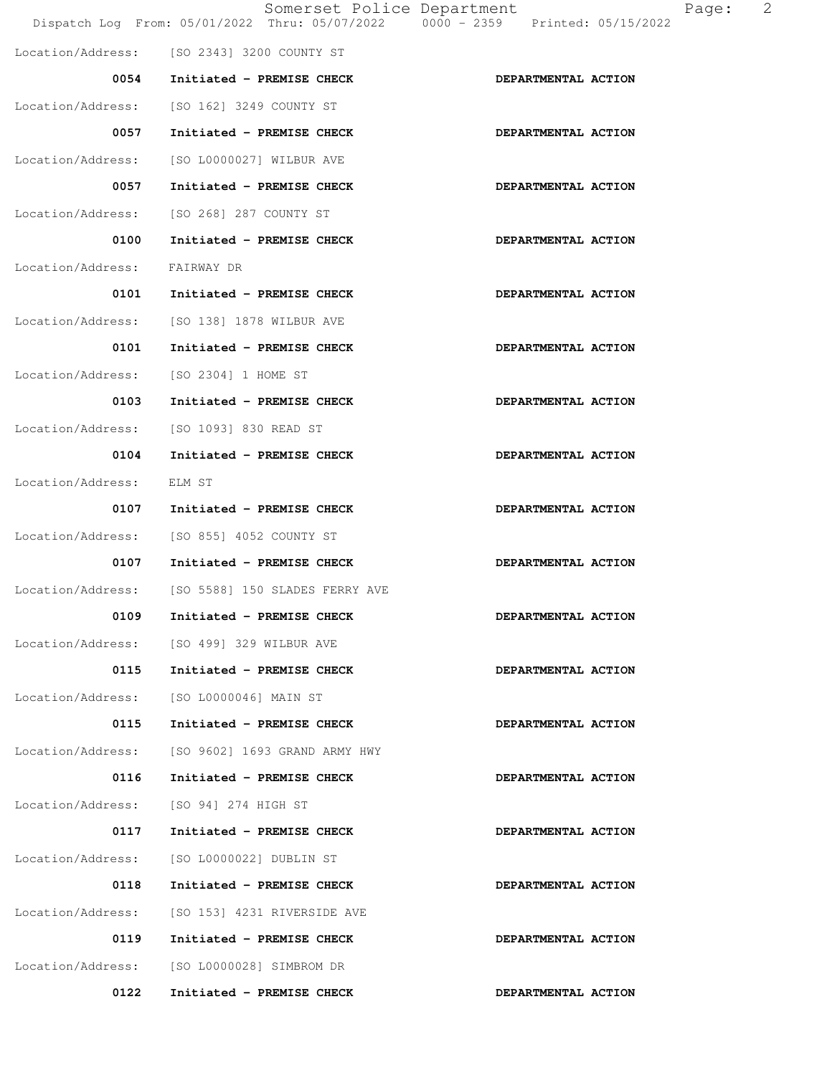|                   | Somerset Police Department                 | Dispatch Log From: 05/01/2022 Thru: 05/07/2022   0000 - 2359   Printed: 05/15/2022 |
|-------------------|--------------------------------------------|------------------------------------------------------------------------------------|
|                   | Location/Address: [SO 2343] 3200 COUNTY ST |                                                                                    |
| 0054              | Initiated - PREMISE CHECK                  | DEPARTMENTAL ACTION                                                                |
| Location/Address: | [SO 162] 3249 COUNTY ST                    |                                                                                    |
| 0057              | Initiated - PREMISE CHECK                  | DEPARTMENTAL ACTION                                                                |
|                   | Location/Address: [SO L0000027] WILBUR AVE |                                                                                    |
| 0057              | Initiated - PREMISE CHECK                  | DEPARTMENTAL ACTION                                                                |
| Location/Address: | [SO 268] 287 COUNTY ST                     |                                                                                    |
| 0100              | Initiated - PREMISE CHECK                  | DEPARTMENTAL ACTION                                                                |
| Location/Address: | FAIRWAY DR                                 |                                                                                    |
| 0101              | Initiated - PREMISE CHECK                  | DEPARTMENTAL ACTION                                                                |
|                   | Location/Address: [SO 138] 1878 WILBUR AVE |                                                                                    |
| 0101              | Initiated - PREMISE CHECK                  | DEPARTMENTAL ACTION                                                                |
| Location/Address: | [SO 2304] 1 HOME ST                        |                                                                                    |
| 0103              | Initiated - PREMISE CHECK                  | DEPARTMENTAL ACTION                                                                |
| Location/Address: | [SO 1093] 830 READ ST                      |                                                                                    |
| 0104              | Initiated - PREMISE CHECK                  | DEPARTMENTAL ACTION                                                                |
| Location/Address: | ELM ST                                     |                                                                                    |
| 0107              | Initiated - PREMISE CHECK                  | DEPARTMENTAL ACTION                                                                |
| Location/Address: | [SO 855] 4052 COUNTY ST                    |                                                                                    |
| 0107              | Initiated - PREMISE CHECK                  | DEPARTMENTAL ACTION                                                                |
| Location/Address: | [SO 5588] 150 SLADES FERRY AVE             |                                                                                    |
| 0109              | Initiated - PREMISE CHECK                  | DEPARTMENTAL ACTION                                                                |
| Location/Address: | [SO 499] 329 WILBUR AVE                    |                                                                                    |
| 0115              | Initiated - PREMISE CHECK                  | DEPARTMENTAL ACTION                                                                |
| Location/Address: | [SO L0000046] MAIN ST                      |                                                                                    |
| 0115              | Initiated - PREMISE CHECK                  | DEPARTMENTAL ACTION                                                                |
| Location/Address: | [SO 9602] 1693 GRAND ARMY HWY              |                                                                                    |
| 0116              | Initiated - PREMISE CHECK                  | DEPARTMENTAL ACTION                                                                |
| Location/Address: | [SO 94] 274 HIGH ST                        |                                                                                    |
| 0117              | Initiated - PREMISE CHECK                  | DEPARTMENTAL ACTION                                                                |
| Location/Address: | [SO L0000022] DUBLIN ST                    |                                                                                    |
| 0118              | Initiated - PREMISE CHECK                  | DEPARTMENTAL ACTION                                                                |
| Location/Address: | [SO 153] 4231 RIVERSIDE AVE                |                                                                                    |
| 0119              | Initiated - PREMISE CHECK                  | DEPARTMENTAL ACTION                                                                |
| Location/Address: | [SO L0000028] SIMBROM DR                   |                                                                                    |
| 0122              | Initiated - PREMISE CHECK                  | DEPARTMENTAL ACTION                                                                |

Page: 2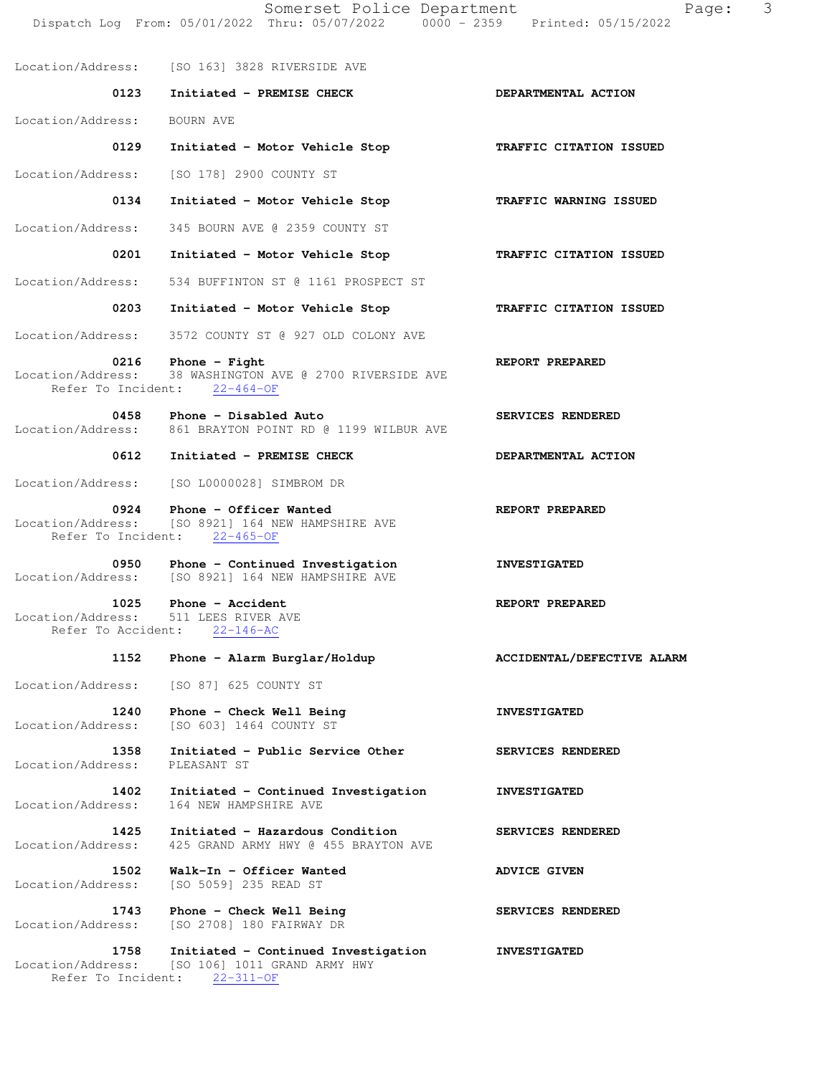Somerset Police Department Page: 3 Dispatch Log From: 05/01/2022 Thru: 05/07/2022 0000 - 2359 Printed: 05/15/2022 Location/Address: [SO 163] 3828 RIVERSIDE AVE 0123 Initiated - PREMISE CHECK **DEPARTMENTAL ACTION**  Location/Address: BOURN AVE  **0129 Initiated - Motor Vehicle Stop TRAFFIC CITATION ISSUED**  Location/Address: [SO 178] 2900 COUNTY ST  **0134 Initiated - Motor Vehicle Stop TRAFFIC WARNING ISSUED**  Location/Address: 345 BOURN AVE @ 2359 COUNTY ST  **0201 Initiated - Motor Vehicle Stop TRAFFIC CITATION ISSUED**  Location/Address: 534 BUFFINTON ST @ 1161 PROSPECT ST  **0203 Initiated - Motor Vehicle Stop TRAFFIC CITATION ISSUED**  Location/Address: 3572 COUNTY ST @ 927 OLD COLONY AVE  **0216** Phone - Fight **REPORT PREPARED**  Location/Address: 38 WASHINGTON AVE @ 2700 RIVERSIDE AVE Refer To Incident: 22-464-OF 0458 Phone - Disabled Auto **SERVICES RENDERED**  Location/Address: 861 BRAYTON POINT RD @ 1199 WILBUR AVE 0612 Initiated - PREMISE CHECK **DEPARTMENTAL ACTION** Location/Address: [SO L0000028] SIMBROM DR 0924 Phone - Officer Wanted **REPORT PREPARED**  Location/Address: [SO 8921] 164 NEW HAMPSHIRE AVE Refer To Incident: 22-465-OF 0950 Phone - Continued Investigation **INVESTIGATED** Location/Address: [SO 8921] 164 NEW HAMPSHIRE AVE 1025 Phone - Accident **REPORT PREPARED**  Location/Address: 511 LEES RIVER AVE Refer To Accident: 22-146-AC 1152 Phone - Alarm Burglar/Holdup **ACCIDENTAL/DEFECTIVE ALARM**  Location/Address: [SO 87] 625 COUNTY ST 1240 Phone - Check Well Being **INVESTIGATED** Location/Address: [SO 603] 1464 COUNTY ST 1358 Initiated - Public Service Other **SERVICES RENDERED**  Location/Address: PLEASANT ST  **1402 Initiated - Continued Investigation INVESTIGATED**  Location/Address: 164 NEW HAMPSHIRE AVE **1425 Initiated - Hazardous Condition SERVICES RENDERED** Location/Address: 425 GRAND ARMY HWY @ 455 BRAYTON AVE 425 GRAND ARMY HWY @ 455 BRAYTON AVE 1502 Walk-In - Officer Wanted **ADVICE GIVEN** Location/Address: [SO 5059] 235 READ ST 1743 Phone - Check Well Being **SERVICES RENDERED**  Location/Address: [SO 2708] 180 FAIRWAY DR  **1758 Initiated - Continued Investigation INVESTIGATED**  Location/Address: [SO 106] 1011 GRAND ARMY HWY

Refer To Incident: 22-311-OF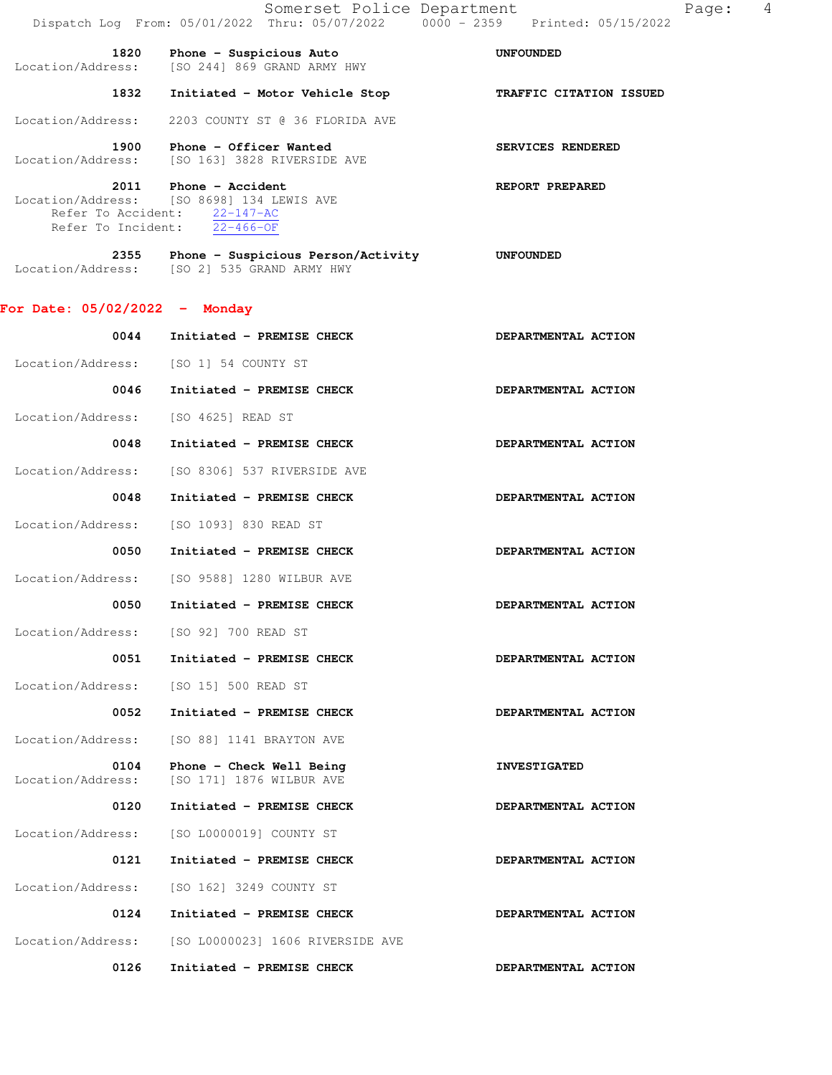1832 Initiated - Motor Vehicle Stop **TRAFFIC CITATION ISSUED** 

Location/Address: 2203 COUNTY ST @ 36 FLORIDA AVE

1900 Phone - Officer Wanted **SERVICES RENDERED** Location/Address: [SO 163] 3828 RIVERSIDE AVE

#### **2011** Phone - Accident **REPORT PREPARED**  Location/Address: [SO 8698] 134 LEWIS AVE Refer To Accident: 22-147-AC Refer To Incident: 22-466-OF

| 2355              | Phone - Suspicious Person/Activity | <b>UNFOUNDED</b> |
|-------------------|------------------------------------|------------------|
| Location/Address: | [SO 2] 535 GRAND ARMY HWY          |                  |

### **For Date: 05/02/2022 - Monday**

| 0044                                  | Initiated - PREMISE CHECK                            | DEPARTMENTAL ACTION |
|---------------------------------------|------------------------------------------------------|---------------------|
| Location/Address: [SO 1] 54 COUNTY ST |                                                      |                     |
| 0046                                  | Initiated - PREMISE CHECK                            | DEPARTMENTAL ACTION |
| Location/Address:                     | [SO 4625] READ ST                                    |                     |
| 0048                                  | Initiated - PREMISE CHECK                            | DEPARTMENTAL ACTION |
| Location/Address:                     | [SO 8306] 537 RIVERSIDE AVE                          |                     |
| 0048                                  | Initiated - PREMISE CHECK                            | DEPARTMENTAL ACTION |
| Location/Address:                     | [SO 1093] 830 READ ST                                |                     |
| 0050                                  | Initiated - PREMISE CHECK                            | DEPARTMENTAL ACTION |
| Location/Address:                     | [SO 9588] 1280 WILBUR AVE                            |                     |
| 0050                                  | Initiated - PREMISE CHECK                            | DEPARTMENTAL ACTION |
| Location/Address:                     | [SO 92] 700 READ ST                                  |                     |
| 0051                                  | Initiated - PREMISE CHECK                            | DEPARTMENTAL ACTION |
| Location/Address:                     | [SO 15] 500 READ ST                                  |                     |
| 0052                                  | Initiated - PREMISE CHECK                            | DEPARTMENTAL ACTION |
| Location/Address:                     | [SO 88] 1141 BRAYTON AVE                             |                     |
| 0104<br>Location/Address:             | Phone - Check Well Being<br>[SO 171] 1876 WILBUR AVE | <b>INVESTIGATED</b> |
| 0120                                  | Initiated - PREMISE CHECK                            | DEPARTMENTAL ACTION |
| Location/Address:                     | [SO L0000019] COUNTY ST                              |                     |
| 0121                                  | Initiated - PREMISE CHECK                            | DEPARTMENTAL ACTION |
| Location/Address:                     | [SO 162] 3249 COUNTY ST                              |                     |
| 0124                                  | Initiated - PREMISE CHECK                            | DEPARTMENTAL ACTION |
| Location/Address:                     | [SO L0000023] 1606 RIVERSIDE AVE                     |                     |
| 0126                                  | Initiated - PREMISE CHECK                            | DEPARTMENTAL ACTION |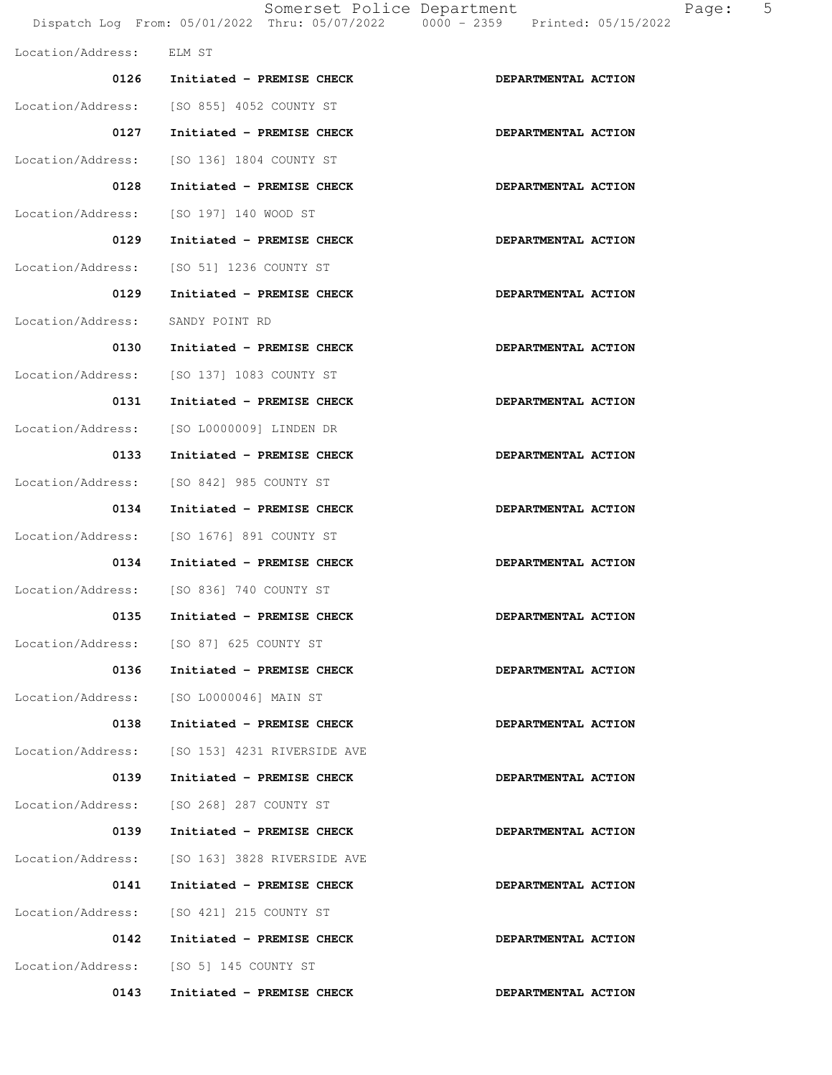|                   |                                | Somerset Police Department<br>Page:<br>Dispatch Log From: 05/01/2022 Thru: 05/07/2022 0000 - 2359 Printed: 05/15/2022 | 5 |
|-------------------|--------------------------------|-----------------------------------------------------------------------------------------------------------------------|---|
| Location/Address: | ELM ST                         |                                                                                                                       |   |
|                   | 0126 Initiated - PREMISE CHECK | DEPARTMENTAL ACTION                                                                                                   |   |
| Location/Address: | [SO 855] 4052 COUNTY ST        |                                                                                                                       |   |
| 0127              | Initiated - PREMISE CHECK      | DEPARTMENTAL ACTION                                                                                                   |   |
| Location/Address: | [SO 136] 1804 COUNTY ST        |                                                                                                                       |   |
| 0128              | Initiated - PREMISE CHECK      | DEPARTMENTAL ACTION                                                                                                   |   |
| Location/Address: | [SO 197] 140 WOOD ST           |                                                                                                                       |   |
| 0129              | Initiated - PREMISE CHECK      | DEPARTMENTAL ACTION                                                                                                   |   |
| Location/Address: | [SO 51] 1236 COUNTY ST         |                                                                                                                       |   |
| 0129              | Initiated - PREMISE CHECK      | DEPARTMENTAL ACTION                                                                                                   |   |
| Location/Address: | SANDY POINT RD                 |                                                                                                                       |   |
| 0130              | Initiated - PREMISE CHECK      | DEPARTMENTAL ACTION                                                                                                   |   |
| Location/Address: | [SO 137] 1083 COUNTY ST        |                                                                                                                       |   |
| 0131              | Initiated - PREMISE CHECK      | DEPARTMENTAL ACTION                                                                                                   |   |
| Location/Address: | [SO L0000009] LINDEN DR        |                                                                                                                       |   |
| 0133              | Initiated - PREMISE CHECK      | DEPARTMENTAL ACTION                                                                                                   |   |
| Location/Address: | [SO 842] 985 COUNTY ST         |                                                                                                                       |   |
| 0134              | Initiated - PREMISE CHECK      | DEPARTMENTAL ACTION                                                                                                   |   |
| Location/Address: | [SO 1676] 891 COUNTY ST        |                                                                                                                       |   |
| 0134              | Initiated - PREMISE CHECK      | DEPARTMENTAL ACTION                                                                                                   |   |
| Location/Address: | [SO 836] 740 COUNTY ST         |                                                                                                                       |   |
| 0135              | Initiated - PREMISE CHECK      | DEPARTMENTAL ACTION                                                                                                   |   |
| Location/Address: | [SO 87] 625 COUNTY ST          |                                                                                                                       |   |
| 0136              | Initiated - PREMISE CHECK      | DEPARTMENTAL ACTION                                                                                                   |   |
| Location/Address: | [SO L0000046] MAIN ST          |                                                                                                                       |   |
| 0138              | Initiated - PREMISE CHECK      | DEPARTMENTAL ACTION                                                                                                   |   |
| Location/Address: | [SO 153] 4231 RIVERSIDE AVE    |                                                                                                                       |   |
| 0139              | Initiated - PREMISE CHECK      | DEPARTMENTAL ACTION                                                                                                   |   |
| Location/Address: | [SO 268] 287 COUNTY ST         |                                                                                                                       |   |
| 0139              | Initiated - PREMISE CHECK      | DEPARTMENTAL ACTION                                                                                                   |   |
| Location/Address: | [SO 163] 3828 RIVERSIDE AVE    |                                                                                                                       |   |
| 0141              | Initiated - PREMISE CHECK      | DEPARTMENTAL ACTION                                                                                                   |   |
| Location/Address: | [SO 421] 215 COUNTY ST         |                                                                                                                       |   |
| 0142              | Initiated - PREMISE CHECK      | DEPARTMENTAL ACTION                                                                                                   |   |
| Location/Address: | [SO 5] 145 COUNTY ST           |                                                                                                                       |   |
| 0143              | Initiated - PREMISE CHECK      | DEPARTMENTAL ACTION                                                                                                   |   |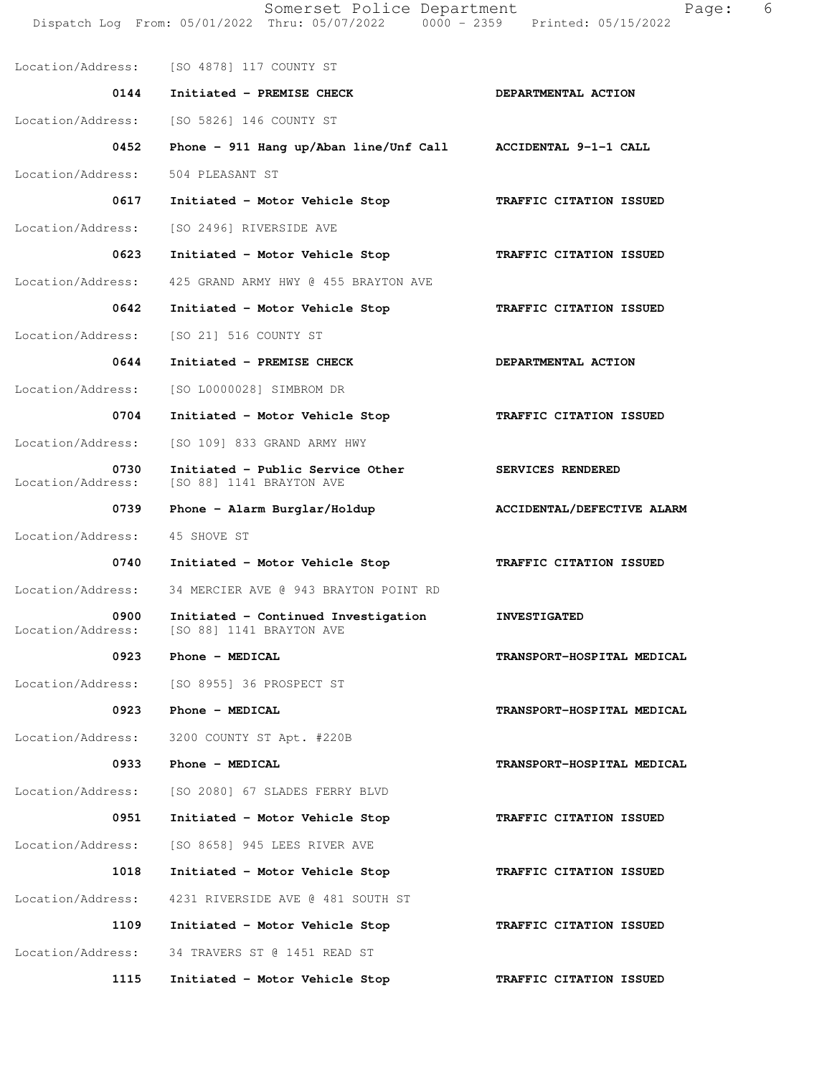Dispatch Log From: 05/01/2022 Thru: 05/07/2022 0000 - 2359 Printed: 05/15/2022 Location/Address: [SO 4878] 117 COUNTY ST 0144 Initiated - PREMISE CHECK **DEPARTMENTAL ACTION**  Location/Address: [SO 5826] 146 COUNTY ST  **0452 Phone - 911 Hang up/Aban line/Unf Call ACCIDENTAL 9-1-1 CALL**  Location/Address: 504 PLEASANT ST 0617 Initiated - Motor Vehicle Stop **TRAFFIC CITATION ISSUED**  Location/Address: [SO 2496] RIVERSIDE AVE  **0623 Initiated - Motor Vehicle Stop TRAFFIC CITATION ISSUED**  Location/Address: 425 GRAND ARMY HWY @ 455 BRAYTON AVE  **0642 Initiated - Motor Vehicle Stop TRAFFIC CITATION ISSUED**  Location/Address: [SO 21] 516 COUNTY ST 0644 Initiated - PREMISE CHECK **DEPARTMENTAL ACTION**  Location/Address: [SO L0000028] SIMBROM DR  **0704 Initiated - Motor Vehicle Stop TRAFFIC CITATION ISSUED**  Location/Address: [SO 109] 833 GRAND ARMY HWY 0730 Initiated - Public Service Other **SERVICES RENDERED**  Location/Address: [SO 88] 1141 BRAYTON AVE 0739 Phone - Alarm Burglar/Holdup **ACCIDENTAL/DEFECTIVE ALARM**  Location/Address: 45 SHOVE ST 0740 Initiated - Motor Vehicle Stop **TRAFFIC CITATION ISSUED**  Location/Address: 34 MERCIER AVE @ 943 BRAYTON POINT RD  **0900 Initiated - Continued Investigation INVESTIGATED** Location/Address: [SO 88] 1141 BRAYTON AVE [SO 88] 1141 BRAYTON AVE 0923 Phone - MEDICAL **TRANSPORT-HOSPITAL MEDICAL**  Location/Address: [SO 8955] 36 PROSPECT ST 0923 Phone - MEDICAL **TRANSPORT-HOSPITAL MEDICAL**  Location/Address: 3200 COUNTY ST Apt. #220B 0933 Phone - MEDICAL **TRANSPORT-HOSPITAL MEDICAL**  Location/Address: [SO 2080] 67 SLADES FERRY BLVD  **0951 Initiated - Motor Vehicle Stop TRAFFIC CITATION ISSUED**  Location/Address: [SO 8658] 945 LEES RIVER AVE  **1018 Initiated - Motor Vehicle Stop TRAFFIC CITATION ISSUED**  Location/Address: 4231 RIVERSIDE AVE @ 481 SOUTH ST  **1109 Initiated - Motor Vehicle Stop TRAFFIC CITATION ISSUED**  Location/Address: 34 TRAVERS ST @ 1451 READ ST  **1115 Initiated - Motor Vehicle Stop TRAFFIC CITATION ISSUED** 

Somerset Police Department Fage: 6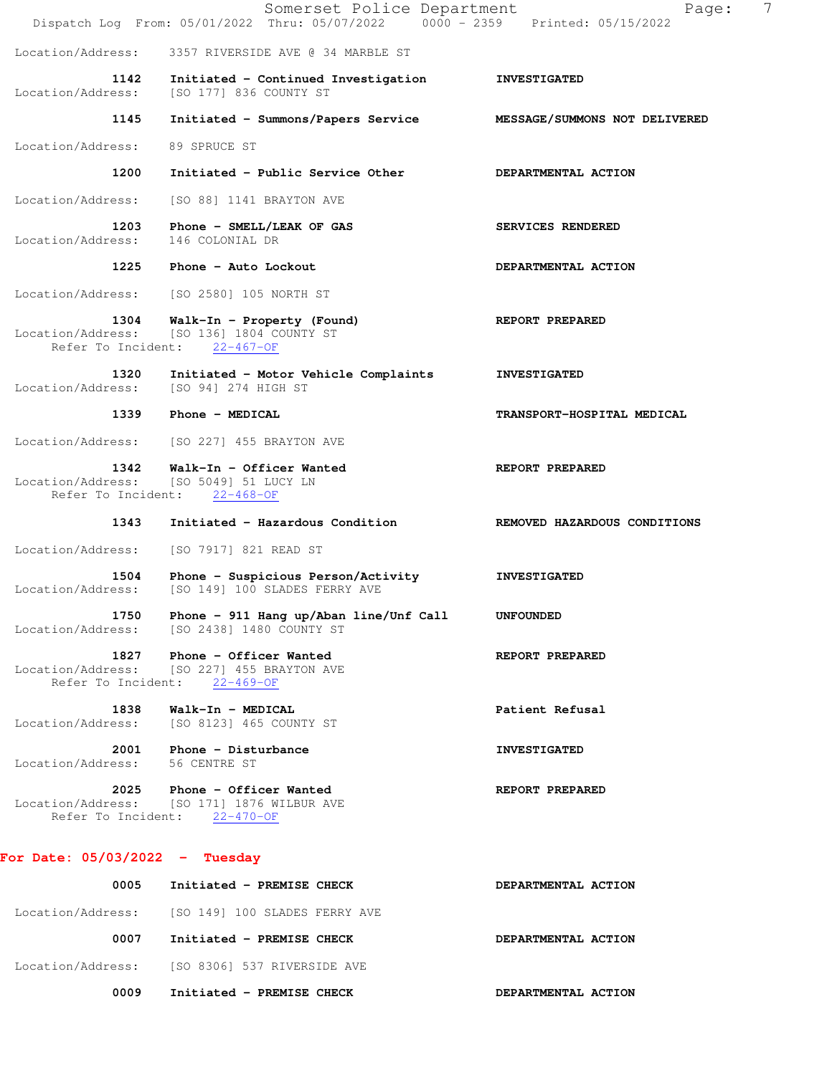|                                                 | Somerset Police Department<br>Dispatch Log From: 05/01/2022 Thru: 05/07/2022 0000 - 2359 Printed: 05/15/2022 | 7<br>Page:                   |
|-------------------------------------------------|--------------------------------------------------------------------------------------------------------------|------------------------------|
| Location/Address:                               | 3357 RIVERSIDE AVE @ 34 MARBLE ST                                                                            |                              |
| 1142<br>Location/Address:                       | Initiated - Continued Investigation<br>[SO 177] 836 COUNTY ST                                                | <b>INVESTIGATED</b>          |
| 1145                                            | Initiated - Summons/Papers Service MESSAGE/SUMMONS NOT DELIVERED                                             |                              |
| Location/Address:                               | 89 SPRUCE ST                                                                                                 |                              |
| 1200                                            | Initiated - Public Service Other                                                                             | DEPARTMENTAL ACTION          |
| Location/Address:                               | [SO 88] 1141 BRAYTON AVE                                                                                     |                              |
| 1203<br>Location/Address:                       | Phone - SMELL/LEAK OF GAS<br>146 COLONIAL DR                                                                 | SERVICES RENDERED            |
| 1225                                            | Phone - Auto Lockout                                                                                         | DEPARTMENTAL ACTION          |
| Location/Address:                               | [SO 2580] 105 NORTH ST                                                                                       |                              |
| 1304                                            | Walk-In - Property (Found)<br>Location/Address: [SO 136] 1804 COUNTY ST<br>Refer To Incident: 22-467-OF      | REPORT PREPARED              |
| 1320<br>Location/Address:                       | Initiated - Motor Vehicle Complaints<br>[SO 94] 274 HIGH ST                                                  | <b>INVESTIGATED</b>          |
| 1339                                            | Phone - MEDICAL                                                                                              | TRANSPORT-HOSPITAL MEDICAL   |
| Location/Address:                               | [SO 227] 455 BRAYTON AVE                                                                                     |                              |
| 1342<br>Location/Address:                       | Walk-In - Officer Wanted<br>[SO 5049] 51 LUCY LN<br>Refer To Incident: 22-468-OF                             | REPORT PREPARED              |
| 1343                                            | Initiated - Hazardous Condition                                                                              | REMOVED HAZARDOUS CONDITIONS |
| Location/Address:                               | [SO 7917] 821 READ ST                                                                                        |                              |
| 1504<br>Location/Address:                       | Phone - Suspicious Person/Activity<br>[SO 149] 100 SLADES FERRY AVE                                          | <b>INVESTIGATED</b>          |
| 1750<br>Location/Address:                       | Phone - 911 Hang up/Aban line/Unf Call<br>[SO 2438] 1480 COUNTY ST                                           | <b>UNFOUNDED</b>             |
| 1827<br>Location/Address:                       | Phone - Officer Wanted<br>ISO 2271 455 BRAYTON AVE<br>Refer To Incident: 22-469-OF                           | REPORT PREPARED              |
| 1838<br>Location/Address:                       | Walk-In - MEDICAL<br>[SO 8123] 465 COUNTY ST                                                                 | Patient Refusal              |
| 2001<br>Location/Address:                       | Phone - Disturbance<br>56 CENTRE ST                                                                          | <b>INVESTIGATED</b>          |
| 2025<br>Location/Address:<br>Refer To Incident: | Phone - Officer Wanted<br>[SO 171] 1876 WILBUR AVE<br>$22 - 470 - OF$                                        | REPORT PREPARED              |

# **For Date: 05/03/2022 - Tuesday**

| 0005 | Initiated - PREMISE CHECK                       | DEPARTMENTAL ACTION |
|------|-------------------------------------------------|---------------------|
|      | Location/Address: [SO 149] 100 SLADES FERRY AVE |                     |
| 0007 | Initiated - PREMISE CHECK                       | DEPARTMENTAL ACTION |
|      | Location/Address: [SO 8306] 537 RIVERSIDE AVE   |                     |
| 0009 | Initiated - PREMISE CHECK                       | DEPARTMENTAL ACTION |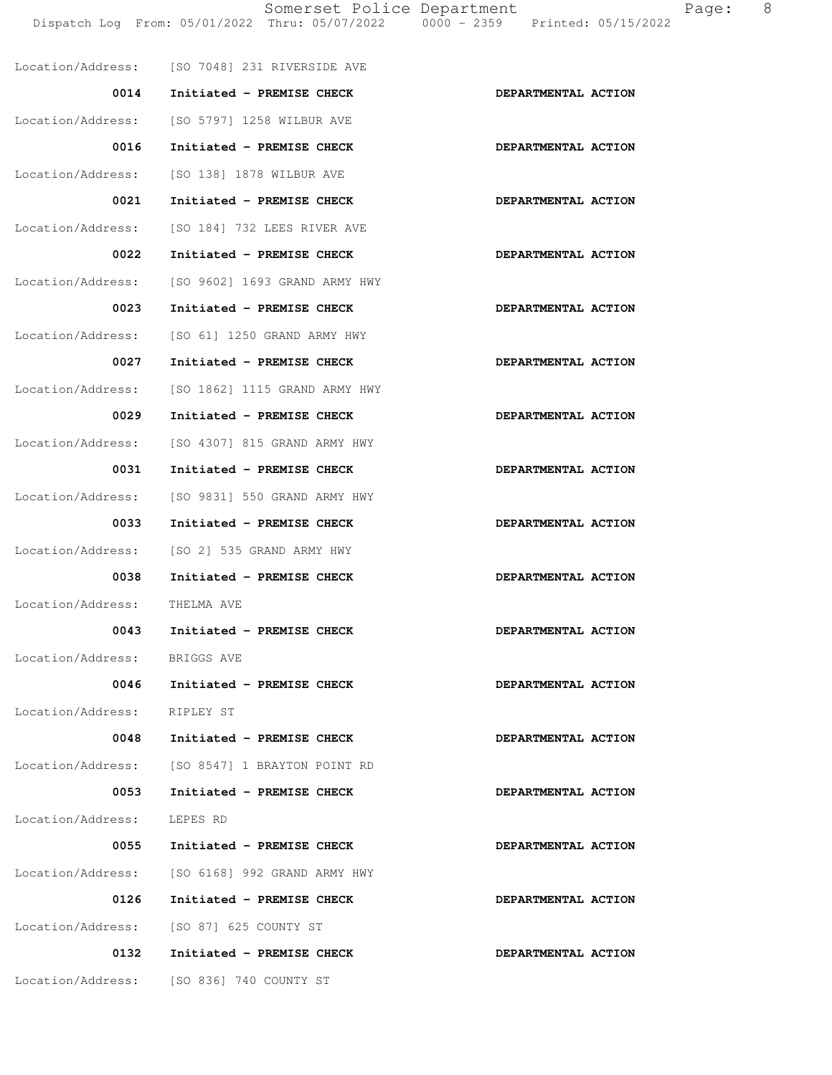Somerset Police Department Page: 8 Dispatch Log From: 05/01/2022 Thru: 05/07/2022 0000 - 2359 Printed: 05/15/2022 Location/Address: [SO 7048] 231 RIVERSIDE AVE 0014 Initiated - PREMISE CHECK **DEPARTMENTAL ACTION**  Location/Address: [SO 5797] 1258 WILBUR AVE 0016 Initiated - PREMISE CHECK **DEPARTMENTAL ACTION**  Location/Address: [SO 138] 1878 WILBUR AVE 0021 Initiated - PREMISE CHECK **DEPARTMENTAL ACTION**  Location/Address: [SO 184] 732 LEES RIVER AVE 0022 Initiated - PREMISE CHECK **DEPARTMENTAL ACTION** Location/Address: [SO 9602] 1693 GRAND ARMY HWY 0023 Initiated - PREMISE CHECK **DEPARTMENTAL ACTION** 

0027 Initiated - PREMISE CHECK **DEPARTMENTAL ACTION** 

Location/Address: [SO 61] 1250 GRAND ARMY HWY

 Location/Address: [SO 1862] 1115 GRAND ARMY HWY 0029 Initiated - PREMISE CHECK **DEPARTMENTAL ACTION**  Location/Address: [SO 4307] 815 GRAND ARMY HWY 0031 Initiated - PREMISE CHECK **DEPARTMENTAL ACTION**  Location/Address: [SO 9831] 550 GRAND ARMY HWY 0033 Initiated - PREMISE CHECK **DEPARTMENTAL ACTION** Location/Address: [SO 2] 535 GRAND ARMY HWY 0038 Initiated - PREMISE CHECK **DEPARTMENTAL ACTION**  Location/Address: THELMA AVE 0043 Initiated - PREMISE CHECK **DEPARTMENTAL ACTION**  Location/Address: BRIGGS AVE 0046 Initiated - PREMISE CHECK **DEPARTMENTAL ACTION**  Location/Address: RIPLEY ST 0048 Initiated - PREMISE CHECK **DEPARTMENTAL ACTION**  Location/Address: [SO 8547] 1 BRAYTON POINT RD 0053 Initiated - PREMISE CHECK **DEPARTMENTAL ACTION** Location/Address: LEPES RD

0055 Initiated - PREMISE CHECK **DEPARTMENTAL ACTION**  Location/Address: [SO 6168] 992 GRAND ARMY HWY 0126 Initiated - PREMISE CHECK **DEPARTMENTAL ACTION**  Location/Address: [SO 87] 625 COUNTY ST 0132 Initiated - PREMISE CHECK **DEPARTMENTAL ACTION** Location/Address: [SO 836] 740 COUNTY ST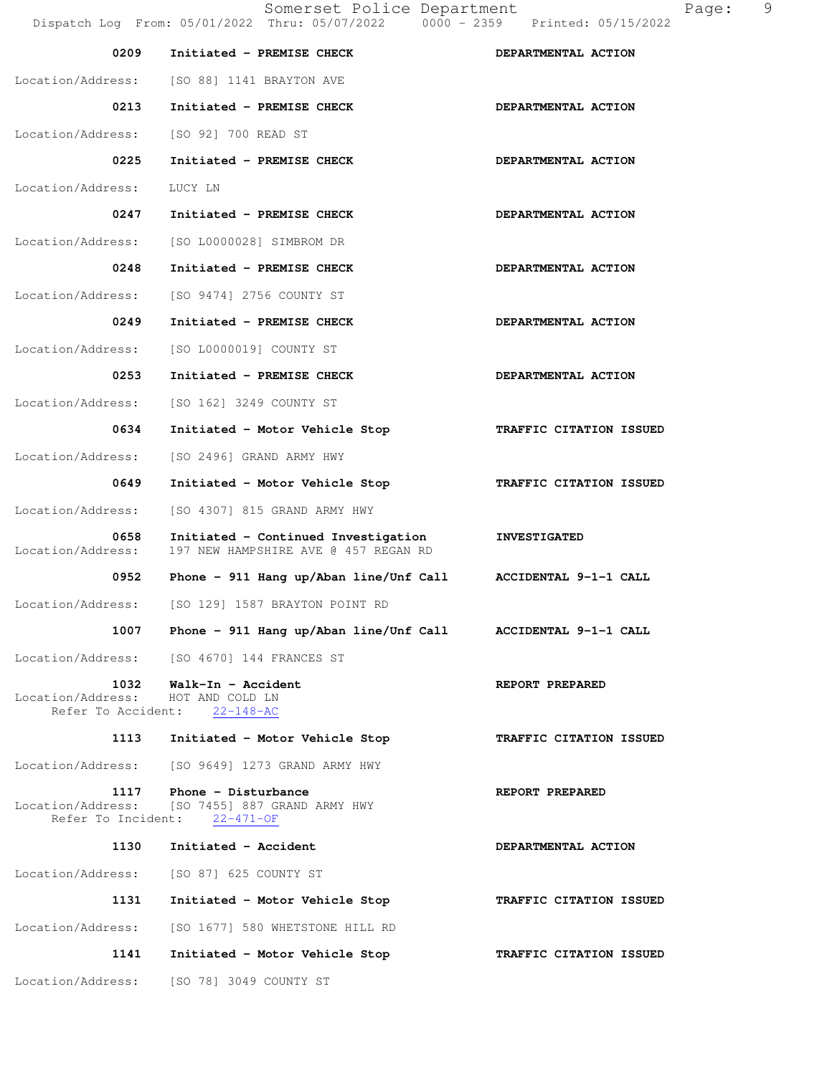Somerset Police Department Page: 9 Dispatch Log From: 05/01/2022 Thru: 05/07/2022 0000 - 2359 Printed: 05/15/2022 0209 Initiated - PREMISE CHECK **DEPARTMENTAL ACTION**  Location/Address: [SO 88] 1141 BRAYTON AVE 0213 Initiated - PREMISE CHECK **DEPARTMENTAL ACTION**  Location/Address: [SO 92] 700 READ ST 0225 Initiated - PREMISE CHECK **DEPARTMENTAL ACTION**  Location/Address: LUCY LN 0247 Initiated - PREMISE CHECK **DEPARTMENTAL ACTION** Location/Address: [SO L0000028] SIMBROM DR 0248 Initiated - PREMISE CHECK **DEPARTMENTAL ACTION** Location/Address: [SO 9474] 2756 COUNTY ST 0249 Initiated - PREMISE CHECK **DEPARTMENTAL ACTION**  Location/Address: [SO L0000019] COUNTY ST 0253 Initiated - PREMISE CHECK **DEPARTMENTAL ACTION**  Location/Address: [SO 162] 3249 COUNTY ST  **0634 Initiated - Motor Vehicle Stop TRAFFIC CITATION ISSUED**  Location/Address: [SO 2496] GRAND ARMY HWY  **0649 Initiated - Motor Vehicle Stop TRAFFIC CITATION ISSUED**  Location/Address: [SO 4307] 815 GRAND ARMY HWY  **0658 Initiated - Continued Investigation INVESTIGATED**  Location/Address: 197 NEW HAMPSHIRE AVE @ 457 REGAN RD  **0952 Phone - 911 Hang up/Aban line/Unf Call ACCIDENTAL 9-1-1 CALL**  Location/Address: [SO 129] 1587 BRAYTON POINT RD  **1007 Phone - 911 Hang up/Aban line/Unf Call ACCIDENTAL 9-1-1 CALL**  Location/Address: [SO 4670] 144 FRANCES ST 1032 Walk-In - Accident **REPORT PREPARED**  Location/Address: HOT AND COLD LN Refer To Accident: 22-148-AC  **1113 Initiated - Motor Vehicle Stop TRAFFIC CITATION ISSUED**  Location/Address: [SO 9649] 1273 GRAND ARMY HWY 1117 Phone - Disturbance **REPORT PREPARED**  Location/Address: [SO 7455] 887 GRAND ARMY HWY Refer To Incident: 22-471-OF 1130 Initiated - Accident **DEPARTMENTAL ACTION**  Location/Address: [SO 87] 625 COUNTY ST  **1131 Initiated - Motor Vehicle Stop TRAFFIC CITATION ISSUED**  Location/Address: [SO 1677] 580 WHETSTONE HILL RD  **1141 Initiated - Motor Vehicle Stop TRAFFIC CITATION ISSUED**  Location/Address: [SO 78] 3049 COUNTY ST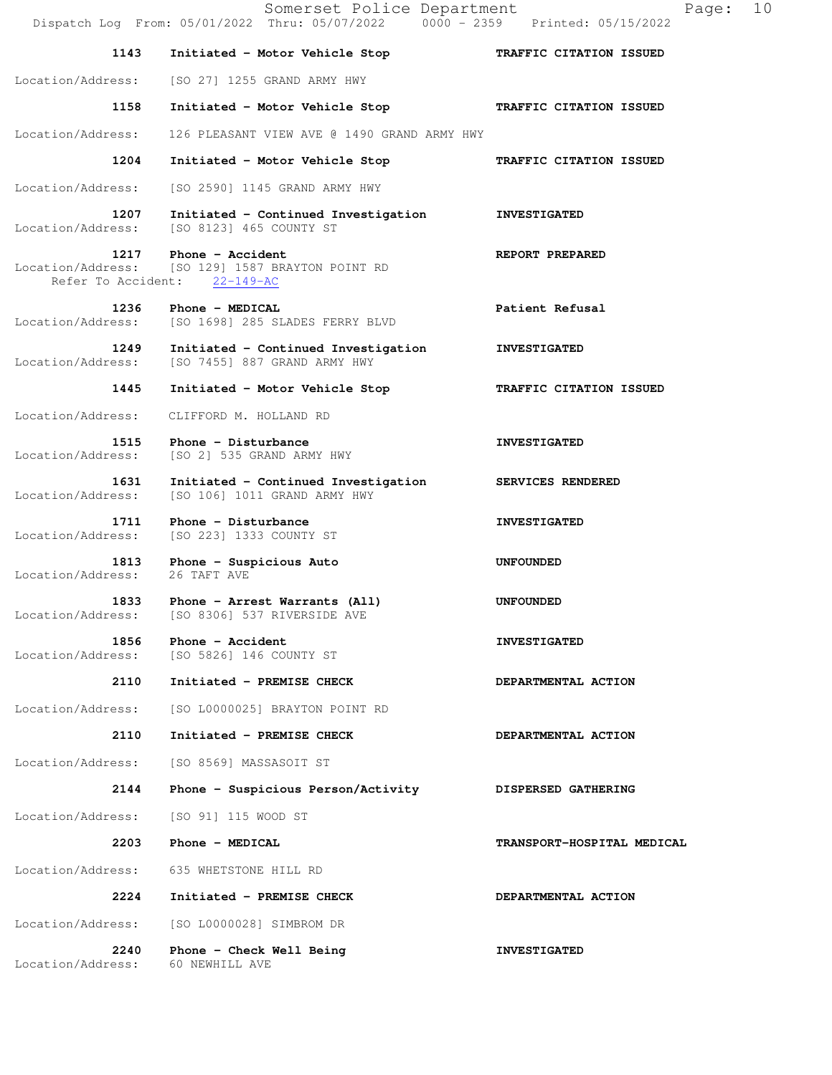|                           | Somerset Police Department<br>Dispatch Log From: 05/01/2022 Thru: 05/07/2022 0000 - 2359 Printed: 05/15/2022 | 10<br>Page:                |
|---------------------------|--------------------------------------------------------------------------------------------------------------|----------------------------|
| 1143                      | Initiated - Motor Vehicle Stop                                                                               | TRAFFIC CITATION ISSUED    |
| Location/Address:         | [SO 27] 1255 GRAND ARMY HWY                                                                                  |                            |
| 1158                      | Initiated - Motor Vehicle Stop TRAFFIC CITATION ISSUED                                                       |                            |
| Location/Address:         | 126 PLEASANT VIEW AVE @ 1490 GRAND ARMY HWY                                                                  |                            |
| 1204                      | Initiated - Motor Vehicle Stop                                                                               | TRAFFIC CITATION ISSUED    |
| Location/Address:         | [SO 2590] 1145 GRAND ARMY HWY                                                                                |                            |
| 1207<br>Location/Address: | Initiated - Continued Investigation<br>[SO 8123] 465 COUNTY ST                                               | <b>INVESTIGATED</b>        |
| 1217                      | Phone - Accident<br>Location/Address: [SO 129] 1587 BRAYTON POINT RD<br>Refer To Accident: 22-149-AC         | REPORT PREPARED            |
| 1236<br>Location/Address: | Phone - MEDICAL<br>[SO 1698] 285 SLADES FERRY BLVD                                                           | Patient Refusal            |
| 1249<br>Location/Address: | Initiated - Continued Investigation<br>[SO 7455] 887 GRAND ARMY HWY                                          | <b>INVESTIGATED</b>        |
| 1445                      | Initiated - Motor Vehicle Stop                                                                               | TRAFFIC CITATION ISSUED    |
| Location/Address:         | CLIFFORD M. HOLLAND RD                                                                                       |                            |
| 1515<br>Location/Address: | Phone - Disturbance<br>[SO 2] 535 GRAND ARMY HWY                                                             | <b>INVESTIGATED</b>        |
| 1631<br>Location/Address: | Initiated - Continued Investigation<br>[SO 106] 1011 GRAND ARMY HWY                                          | SERVICES RENDERED          |
| 1711<br>Location/Address: | Phone - Disturbance<br>[SO 223] 1333 COUNTY ST                                                               | <b>INVESTIGATED</b>        |
| 1813<br>Location/Address: | Phone - Suspicious Auto<br>26 TAFT AVE                                                                       | <b>UNFOUNDED</b>           |
| 1833<br>Location/Address: | Phone - Arrest Warrants (All)<br>[SO 8306] 537 RIVERSIDE AVE                                                 | UNFOUNDED                  |
| 1856<br>Location/Address: | Phone - Accident<br>[SO 5826] 146 COUNTY ST                                                                  | <b>INVESTIGATED</b>        |
| 2110                      | Initiated - PREMISE CHECK                                                                                    | DEPARTMENTAL ACTION        |
| Location/Address:         | [SO L0000025] BRAYTON POINT RD                                                                               |                            |
| 2110                      | Initiated - PREMISE CHECK                                                                                    | DEPARTMENTAL ACTION        |
| Location/Address:         | [SO 8569] MASSASOIT ST                                                                                       |                            |
| 2144                      | Phone - Suspicious Person/Activity                                                                           | DISPERSED GATHERING        |
| Location/Address:         | [SO 91] 115 WOOD ST                                                                                          |                            |
| 2203                      | Phone - MEDICAL                                                                                              | TRANSPORT-HOSPITAL MEDICAL |
| Location/Address:         | 635 WHETSTONE HILL RD                                                                                        |                            |
| 2224                      | Initiated - PREMISE CHECK                                                                                    | DEPARTMENTAL ACTION        |
| Location/Address:         | [SO L0000028] SIMBROM DR                                                                                     |                            |
| 2240<br>Location/Address: | Phone - Check Well Being<br>60 NEWHILL AVE                                                                   | <b>INVESTIGATED</b>        |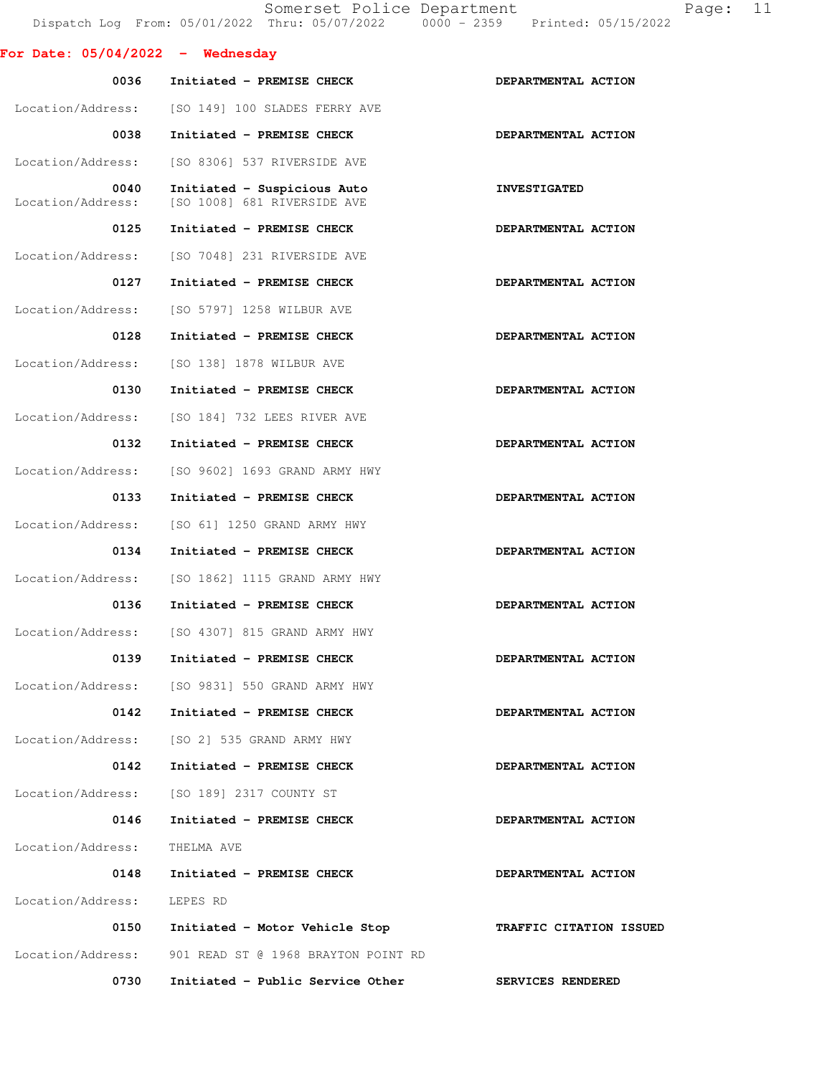|                                    | Somerset Police Department<br>Dispatch Log From: 05/01/2022 Thru: 05/07/2022 0000 - 2359 Printed: 05/15/2022 | Page:                   | 11 |
|------------------------------------|--------------------------------------------------------------------------------------------------------------|-------------------------|----|
| For Date: $05/04/2022 -$ Wednesday |                                                                                                              |                         |    |
| 0036                               | Initiated - PREMISE CHECK                                                                                    | DEPARTMENTAL ACTION     |    |
| Location/Address:                  | [SO 149] 100 SLADES FERRY AVE                                                                                |                         |    |
| 0038                               | Initiated - PREMISE CHECK                                                                                    | DEPARTMENTAL ACTION     |    |
| Location/Address:                  | [SO 8306] 537 RIVERSIDE AVE                                                                                  |                         |    |
| 0040<br>Location/Address:          | Initiated - Suspicious Auto<br>[SO 1008] 681 RIVERSIDE AVE                                                   | <b>INVESTIGATED</b>     |    |
| 0125                               | Initiated - PREMISE CHECK                                                                                    | DEPARTMENTAL ACTION     |    |
| Location/Address:                  | [SO 7048] 231 RIVERSIDE AVE                                                                                  |                         |    |
| 0127                               | Initiated - PREMISE CHECK                                                                                    | DEPARTMENTAL ACTION     |    |
| Location/Address:                  | [SO 5797] 1258 WILBUR AVE                                                                                    |                         |    |
| 0128                               | Initiated - PREMISE CHECK                                                                                    | DEPARTMENTAL ACTION     |    |
| Location/Address:                  | [SO 138] 1878 WILBUR AVE                                                                                     |                         |    |
| 0130                               | Initiated - PREMISE CHECK                                                                                    | DEPARTMENTAL ACTION     |    |
| Location/Address:                  | [SO 184] 732 LEES RIVER AVE                                                                                  |                         |    |
| 0132                               | Initiated - PREMISE CHECK                                                                                    | DEPARTMENTAL ACTION     |    |
| Location/Address:                  | [SO 9602] 1693 GRAND ARMY HWY                                                                                |                         |    |
| 0133                               | Initiated - PREMISE CHECK                                                                                    | DEPARTMENTAL ACTION     |    |
| Location/Address:                  | [SO 61] 1250 GRAND ARMY HWY                                                                                  |                         |    |
| 0134                               | Initiated - PREMISE CHECK                                                                                    | DEPARTMENTAL ACTION     |    |
| Location/Address:                  | [SO 1862] 1115 GRAND ARMY HWY                                                                                |                         |    |
| 0136                               | Initiated - PREMISE CHECK                                                                                    | DEPARTMENTAL ACTION     |    |
|                                    | Location/Address: [SO 4307] 815 GRAND ARMY HWY                                                               |                         |    |
| 0139                               | Initiated - PREMISE CHECK                                                                                    | DEPARTMENTAL ACTION     |    |
| Location/Address:                  | [SO 9831] 550 GRAND ARMY HWY                                                                                 |                         |    |
| 0142                               | Initiated - PREMISE CHECK                                                                                    | DEPARTMENTAL ACTION     |    |
| Location/Address:                  | [SO 2] 535 GRAND ARMY HWY                                                                                    |                         |    |
| 0142                               | Initiated - PREMISE CHECK                                                                                    | DEPARTMENTAL ACTION     |    |
| Location/Address:                  | [SO 189] 2317 COUNTY ST                                                                                      |                         |    |
| 0146                               | Initiated - PREMISE CHECK                                                                                    | DEPARTMENTAL ACTION     |    |
| Location/Address:                  | THELMA AVE                                                                                                   |                         |    |
| 0148                               | Initiated - PREMISE CHECK                                                                                    | DEPARTMENTAL ACTION     |    |
| Location/Address:                  | LEPES RD                                                                                                     |                         |    |
| 0150                               | Initiated - Motor Vehicle Stop                                                                               | TRAFFIC CITATION ISSUED |    |
| Location/Address:                  | 901 READ ST @ 1968 BRAYTON POINT RD                                                                          |                         |    |
| 0730                               | Initiated - Public Service Other                                                                             | SERVICES RENDERED       |    |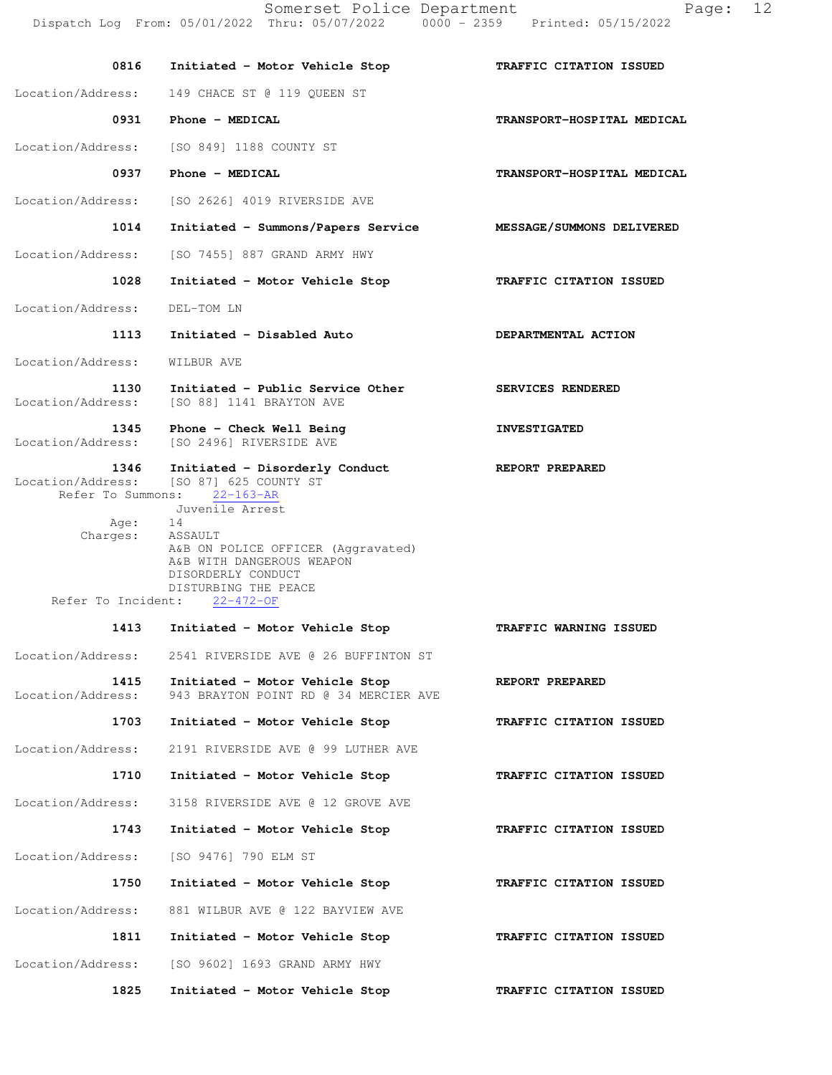**0816 Initiated - Motor Vehicle Stop TRAFFIC CITATION ISSUED**  Location/Address: 149 CHACE ST @ 119 OUEEN ST 0931 Phone - MEDICAL **TRANSPORT-HOSPITAL MEDICAL** Location/Address: [SO 849] 1188 COUNTY ST 0937 Phone - MEDICAL **TRANSPORT-HOSPITAL MEDICAL** Location/Address: [SO 2626] 4019 RIVERSIDE AVE  **1014 Initiated - Summons/Papers Service MESSAGE/SUMMONS DELIVERED**  Location/Address: [SO 7455] 887 GRAND ARMY HWY  **1028 Initiated - Motor Vehicle Stop TRAFFIC CITATION ISSUED**  Location/Address: DEL-TOM LN  **1113 Initiated - Disabled Auto DEPARTMENTAL ACTION**  Location/Address: WILBUR AVE **1130** Initiated - Public Service Other SERVICES RENDERED Location/Address: [SO 88] 1141 BRAYTON AVE [SO 88] 1141 BRAYTON AVE 1345 Phone - Check Well Being **INVESTIGATED**  Location/Address: [SO 2496] RIVERSIDE AVE  **1346 Initiated - Disorderly Conduct REPORT PREPARED**  Location/Address: [SO 87] 625 COUNTY ST Refer To Summons: 22-163-AR Juvenile Arrest Age: 14 Charges: ASSAULT A&B ON POLICE OFFICER (Aggravated) A&B WITH DANGEROUS WEAPON DISORDERLY CONDUCT DISTURBING THE PEACE<br>nt: 22-472-OF Refer To Incident:  **1413 Initiated - Motor Vehicle Stop TRAFFIC WARNING ISSUED**  Location/Address: 2541 RIVERSIDE AVE @ 26 BUFFINTON ST  **1415 Initiated - Motor Vehicle Stop REPORT PREPARED**  Location/Address: 943 BRAYTON POINT RD @ 34 MERCIER AVE  **1703 Initiated - Motor Vehicle Stop TRAFFIC CITATION ISSUED**  Location/Address: 2191 RIVERSIDE AVE @ 99 LUTHER AVE  **1710 Initiated - Motor Vehicle Stop TRAFFIC CITATION ISSUED**  Location/Address: 3158 RIVERSIDE AVE @ 12 GROVE AVE  **1743 Initiated - Motor Vehicle Stop TRAFFIC CITATION ISSUED**  Location/Address: [SO 9476] 790 ELM ST  **1750 Initiated - Motor Vehicle Stop TRAFFIC CITATION ISSUED**  Location/Address: 881 WILBUR AVE @ 122 BAYVIEW AVE  **1811 Initiated - Motor Vehicle Stop TRAFFIC CITATION ISSUED**  Location/Address: [SO 9602] 1693 GRAND ARMY HWY  **1825 Initiated - Motor Vehicle Stop TRAFFIC CITATION ISSUED**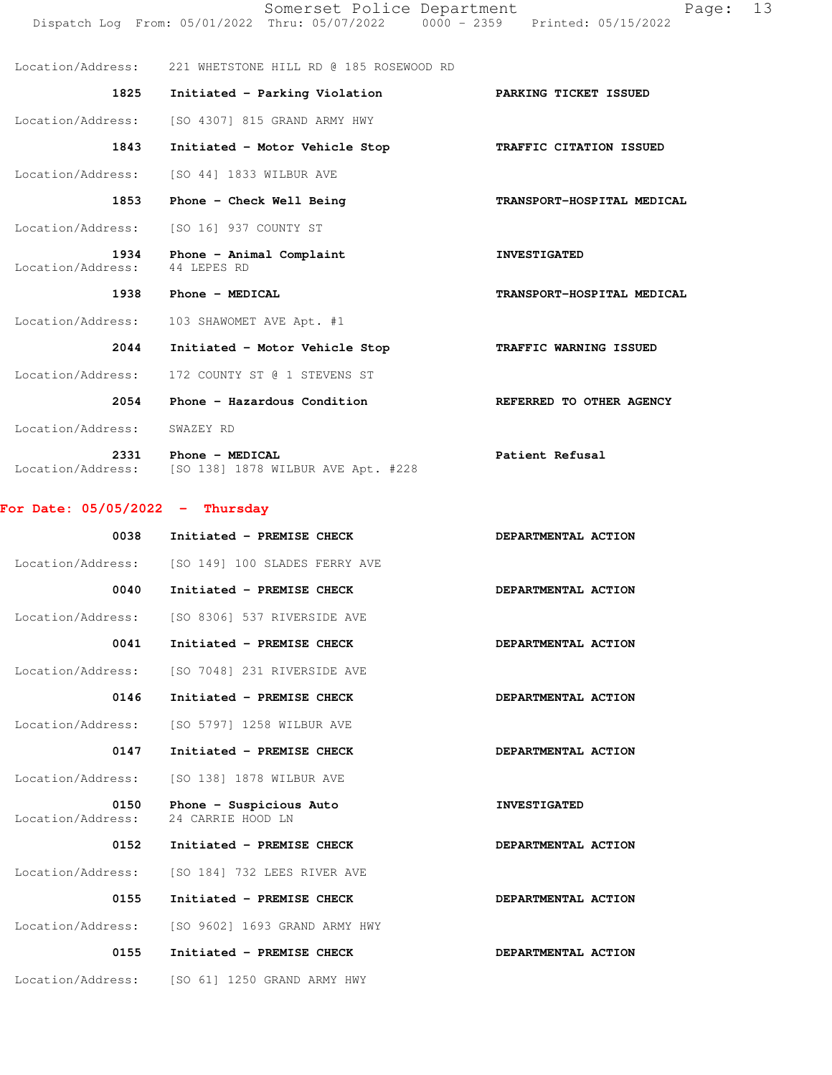| Location/Address:         | 221 WHETSTONE HILL RD @ 185 ROSEWOOD RD               |                            |
|---------------------------|-------------------------------------------------------|----------------------------|
| 1825                      | Initiated - Parking Violation FARKING TICKET ISSUED   |                            |
| Location/Address:         | [SO 4307] 815 GRAND ARMY HWY                          |                            |
| 1843                      | Initiated - Motor Vehicle Stop                        | TRAFFIC CITATION ISSUED    |
|                           | Location/Address: [SO 44] 1833 WILBUR AVE             |                            |
| 1853                      | Phone - Check Well Being                              | TRANSPORT-HOSPITAL MEDICAL |
|                           | Location/Address: [SO 16] 937 COUNTY ST               |                            |
| Location/Address:         | 1934 Phone - Animal Complaint<br>44 LEPES RD          | <b>INVESTIGATED</b>        |
| 1938                      | Phone - MEDICAL                                       | TRANSPORT-HOSPITAL MEDICAL |
| Location/Address:         | 103 SHAWOMET AVE Apt. #1                              |                            |
| 2044                      | Initiated - Motor Vehicle Stop                        | TRAFFIC WARNING ISSUED     |
| Location/Address:         | 172 COUNTY ST @ 1 STEVENS ST                          |                            |
| 2054                      | Phone - Hazardous Condition                           | REFERRED TO OTHER AGENCY   |
| Location/Address:         | SWAZEY RD                                             |                            |
| 2331<br>Location/Address: | Phone - MEDICAL<br>[SO 138] 1878 WILBUR AVE Apt. #228 | Patient Refusal            |

### **For Date: 05/05/2022 - Thursday**

| 0038                      | Initiated - PREMISE CHECK                       | DEPARTMENTAL ACTION |
|---------------------------|-------------------------------------------------|---------------------|
|                           | Location/Address: [SO 149] 100 SLADES FERRY AVE |                     |
| 0040                      | Initiated - PREMISE CHECK                       | DEPARTMENTAL ACTION |
| Location/Address:         | [SO 8306] 537 RIVERSIDE AVE                     |                     |
| 0041                      | Initiated - PREMISE CHECK                       | DEPARTMENTAL ACTION |
| Location/Address:         | [SO 7048] 231 RIVERSIDE AVE                     |                     |
| 0146                      | Initiated - PREMISE CHECK                       | DEPARTMENTAL ACTION |
| Location/Address:         | [SO 5797] 1258 WILBUR AVE                       |                     |
| 0147                      | Initiated - PREMISE CHECK                       | DEPARTMENTAL ACTION |
| Location/Address:         | [SO 138] 1878 WILBUR AVE                        |                     |
| 0150<br>Location/Address: | Phone - Suspicious Auto<br>24 CARRIE HOOD LN    | <b>INVESTIGATED</b> |
| 0152                      | Initiated - PREMISE CHECK                       | DEPARTMENTAL ACTION |
| Location/Address:         | [SO 184] 732 LEES RIVER AVE                     |                     |
| 0155                      | Initiated - PREMISE CHECK                       | DEPARTMENTAL ACTION |
| Location/Address:         | [SO 9602] 1693 GRAND ARMY HWY                   |                     |
| 0155                      | Initiated - PREMISE CHECK                       | DEPARTMENTAL ACTION |
| Location/Address:         | [SO 61] 1250 GRAND ARMY HWY                     |                     |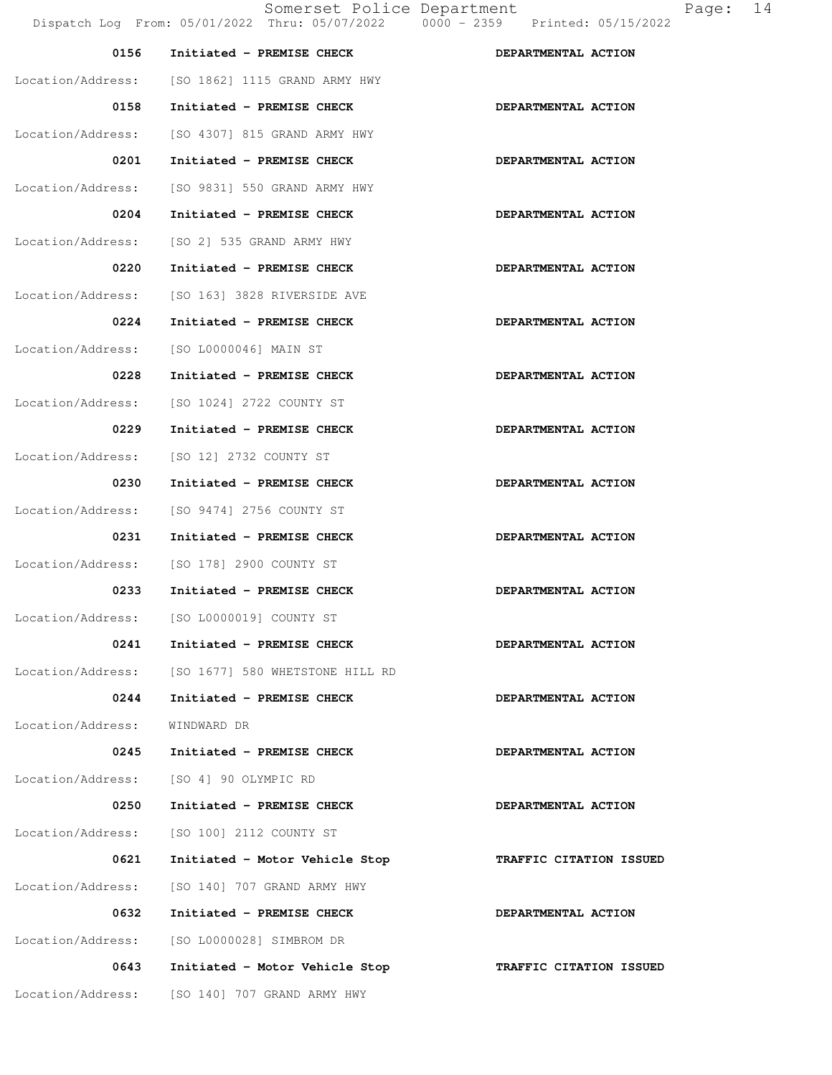| 0156              | Initiated - PREMISE CHECK                         | DEPARTMENTAL ACTION     |
|-------------------|---------------------------------------------------|-------------------------|
|                   | Location/Address: [SO 1862] 1115 GRAND ARMY HWY   |                         |
| 0158              | Initiated - PREMISE CHECK                         | DEPARTMENTAL ACTION     |
| Location/Address: | [SO 4307] 815 GRAND ARMY HWY                      |                         |
| 0201              | Initiated - PREMISE CHECK                         | DEPARTMENTAL ACTION     |
| Location/Address: | [SO 9831] 550 GRAND ARMY HWY                      |                         |
| 0204              | Initiated - PREMISE CHECK                         | DEPARTMENTAL ACTION     |
| Location/Address: | [SO 2] 535 GRAND ARMY HWY                         |                         |
| 0220              | Initiated - PREMISE CHECK                         | DEPARTMENTAL ACTION     |
| Location/Address: | [SO 163] 3828 RIVERSIDE AVE                       |                         |
| 0224              | Initiated - PREMISE CHECK                         | DEPARTMENTAL ACTION     |
| Location/Address: | [SO L0000046] MAIN ST                             |                         |
| 0228              | Initiated - PREMISE CHECK                         | DEPARTMENTAL ACTION     |
| Location/Address: | [SO 1024] 2722 COUNTY ST                          |                         |
| 0229              | Initiated - PREMISE CHECK                         | DEPARTMENTAL ACTION     |
| Location/Address: | [SO 12] 2732 COUNTY ST                            |                         |
| 0230              | Initiated - PREMISE CHECK                         | DEPARTMENTAL ACTION     |
| Location/Address: | [SO 9474] 2756 COUNTY ST                          |                         |
| 0231              | Initiated - PREMISE CHECK                         | DEPARTMENTAL ACTION     |
| Location/Address: | [SO 178] 2900 COUNTY ST                           |                         |
| 0233              | Initiated - PREMISE CHECK                         | DEPARTMENTAL ACTION     |
|                   | Location/Address: [SO L0000019] COUNTY ST         |                         |
| 0241              | Initiated - PREMISE CHECK                         | DEPARTMENTAL ACTION     |
|                   | Location/Address: [SO 1677] 580 WHETSTONE HILL RD |                         |
| 0244              | Initiated - PREMISE CHECK                         | DEPARTMENTAL ACTION     |
| Location/Address: | WINDWARD DR                                       |                         |
| 0245              | Initiated - PREMISE CHECK                         | DEPARTMENTAL ACTION     |
| Location/Address: | [SO 4] 90 OLYMPIC RD                              |                         |
| 0250              | Initiated - PREMISE CHECK                         | DEPARTMENTAL ACTION     |
| Location/Address: | [SO 100] 2112 COUNTY ST                           |                         |
| 0621              | Initiated - Motor Vehicle Stop                    | TRAFFIC CITATION ISSUED |
| Location/Address: | [SO 140] 707 GRAND ARMY HWY                       |                         |
| 0632              | Initiated - PREMISE CHECK                         | DEPARTMENTAL ACTION     |
| Location/Address: | [SO L0000028] SIMBROM DR                          |                         |
| 0643              | Initiated - Motor Vehicle Stop                    | TRAFFIC CITATION ISSUED |
| Location/Address: | [SO 140] 707 GRAND ARMY HWY                       |                         |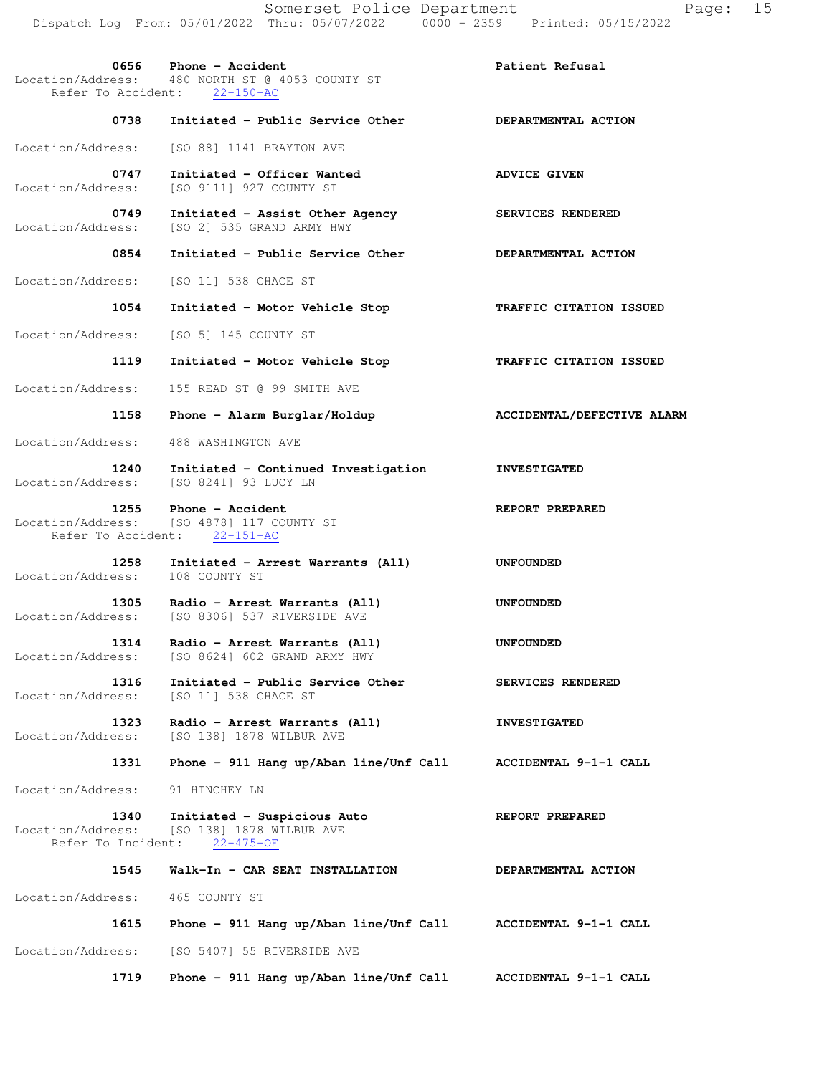**0656** Phone - Accident **Patient Refusal** Patient Refusal Location/Address: 480 NORTH ST @ 4053 COUNTY ST Refer To Accident: 22-150-AC 0738 Initiated - Public Service Other **DEPARTMENTAL ACTION**  Location/Address: [SO 88] 1141 BRAYTON AVE 0747 Initiated - Officer Wanted **ADVICE GIVEN**  Location/Address: [SO 9111] 927 COUNTY ST  **0749 Initiated - Assist Other Agency SERVICES RENDERED**  Location/Address: [SO 2] 535 GRAND ARMY HWY 0854 Initiated - Public Service Other **DEPARTMENTAL ACTION**  Location/Address: [SO 11] 538 CHACE ST  **1054 Initiated - Motor Vehicle Stop TRAFFIC CITATION ISSUED**  Location/Address: [SO 5] 145 COUNTY ST  **1119 Initiated - Motor Vehicle Stop TRAFFIC CITATION ISSUED**  Location/Address: 155 READ ST @ 99 SMITH AVE 1158 Phone - Alarm Burglar/Holdup **ACCIDENTAL/DEFECTIVE ALARM**  Location/Address: 488 WASHINGTON AVE  **1240 Initiated - Continued Investigation INVESTIGATED**  Location/Address: [SO 8241] 93 LUCY LN  **1255** Phone - Accident **REPORT PREPARED**  Location/Address: [SO 4878] 117 COUNTY ST Refer To Accident: 22-151-AC  **1258 Initiated - Arrest Warrants (All) UNFOUNDED**  Location/Address: 108 COUNTY ST  **1305 Radio - Arrest Warrants (All) UNFOUNDED**  Location/Address: [SO 8306] 537 RIVERSIDE AVE  **1314 Radio - Arrest Warrants (All) UNFOUNDED**  Location/Address: [SO 8624] 602 GRAND ARMY HWY  **1316 Initiated - Public Service Other SERVICES RENDERED**  Location/Address: [SO 11] 538 CHACE ST  **1323 Radio - Arrest Warrants (All) INVESTIGATED**  Location/Address: [SO 138] 1878 WILBUR AVE  **1331 Phone - 911 Hang up/Aban line/Unf Call ACCIDENTAL 9-1-1 CALL**  Location/Address: 91 HINCHEY LN  **1340 Initiated - Suspicious Auto REPORT PREPARED**  Location/Address: [SO 138] 1878 WILBUR AVE Location/Address: [SO 138] 1878 W.<br>Refer To Incident: 22-475-OF  **1545 Walk-In - CAR SEAT INSTALLATION DEPARTMENTAL ACTION**  Location/Address: 465 COUNTY ST  **1615 Phone - 911 Hang up/Aban line/Unf Call ACCIDENTAL 9-1-1 CALL**  Location/Address: [SO 5407] 55 RIVERSIDE AVE  **1719 Phone - 911 Hang up/Aban line/Unf Call ACCIDENTAL 9-1-1 CALL**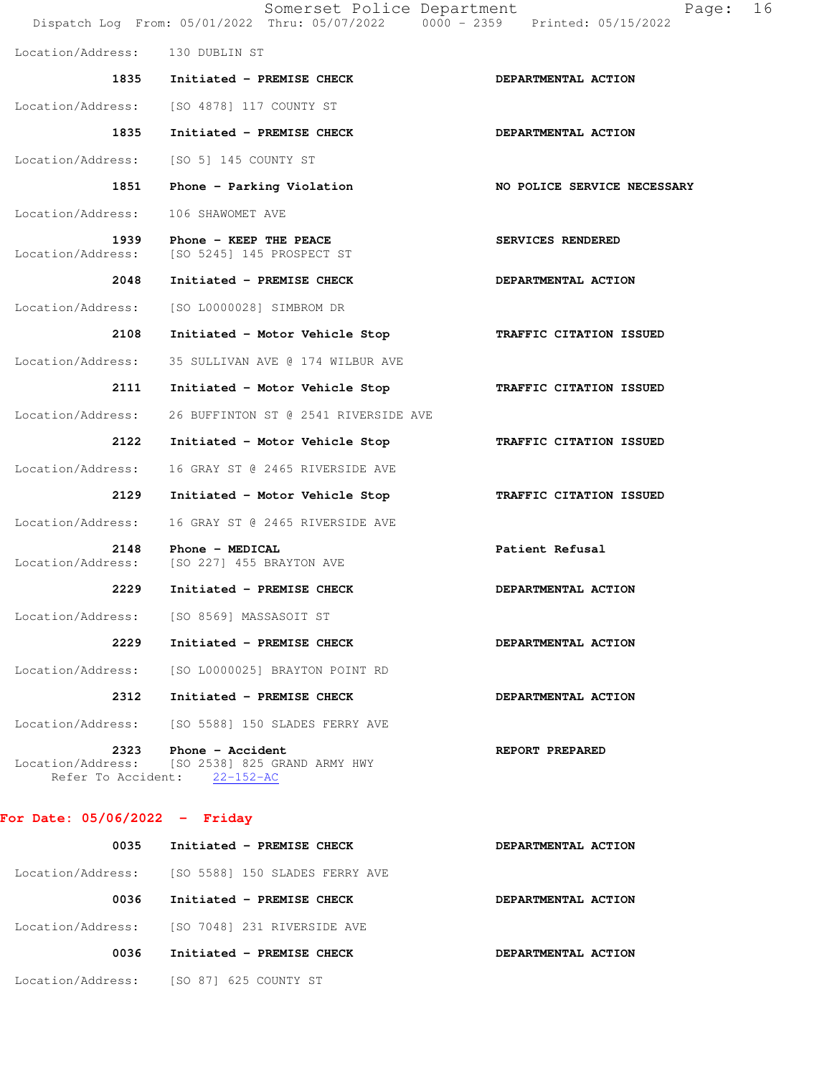| Somerset Police Department<br>16<br>Page:<br>Dispatch Log From: 05/01/2022 Thru: 05/07/2022 0000 - 2359 Printed: 05/15/2022 |                                                                     |                             |  |
|-----------------------------------------------------------------------------------------------------------------------------|---------------------------------------------------------------------|-----------------------------|--|
| Location/Address: 130 DUBLIN ST                                                                                             |                                                                     |                             |  |
|                                                                                                                             | 1835 Initiated - PREMISE CHECK                                      | DEPARTMENTAL ACTION         |  |
| Location/Address:                                                                                                           | [SO 4878] 117 COUNTY ST                                             |                             |  |
| 1835                                                                                                                        | Initiated - PREMISE CHECK                                           | DEPARTMENTAL ACTION         |  |
| Location/Address:                                                                                                           | [SO 5] 145 COUNTY ST                                                |                             |  |
| 1851                                                                                                                        | Phone - Parking Violation                                           | NO POLICE SERVICE NECESSARY |  |
| Location/Address:                                                                                                           | 106 SHAWOMET AVE                                                    |                             |  |
| 1939<br>Location/Address:                                                                                                   | Phone - KEEP THE PEACE<br>[SO 5245] 145 PROSPECT ST                 | SERVICES RENDERED           |  |
| 2048                                                                                                                        | Initiated - PREMISE CHECK                                           | DEPARTMENTAL ACTION         |  |
| Location/Address:                                                                                                           | [SO L0000028] SIMBROM DR                                            |                             |  |
| 2108                                                                                                                        | Initiated - Motor Vehicle Stop                                      | TRAFFIC CITATION ISSUED     |  |
| Location/Address:                                                                                                           | 35 SULLIVAN AVE @ 174 WILBUR AVE                                    |                             |  |
| 2111                                                                                                                        | Initiated - Motor Vehicle Stop                                      | TRAFFIC CITATION ISSUED     |  |
| Location/Address:                                                                                                           | 26 BUFFINTON ST @ 2541 RIVERSIDE AVE                                |                             |  |
| 2122                                                                                                                        | Initiated - Motor Vehicle Stop                                      | TRAFFIC CITATION ISSUED     |  |
| Location/Address:                                                                                                           | 16 GRAY ST @ 2465 RIVERSIDE AVE                                     |                             |  |
| 2129                                                                                                                        | Initiated - Motor Vehicle Stop                                      | TRAFFIC CITATION ISSUED     |  |
| Location/Address:                                                                                                           | 16 GRAY ST @ 2465 RIVERSIDE AVE                                     |                             |  |
| 2148<br>Location/Address:                                                                                                   | Phone - MEDICAL<br>[SO 227] 455 BRAYTON AVE                         | Patient Refusal             |  |
| 2229                                                                                                                        | Initiated - PREMISE CHECK                                           | DEPARTMENTAL ACTION         |  |
| Location/Address:                                                                                                           | [SO 8569] MASSASOIT ST                                              |                             |  |
| 2229                                                                                                                        | Initiated - PREMISE CHECK                                           | DEPARTMENTAL ACTION         |  |
| Location/Address:                                                                                                           | [SO L0000025] BRAYTON POINT RD                                      |                             |  |
| 2312                                                                                                                        | Initiated - PREMISE CHECK                                           | DEPARTMENTAL ACTION         |  |
| Location/Address:                                                                                                           | [SO 5588] 150 SLADES FERRY AVE                                      |                             |  |
| 2323<br>Location/Address:<br>Refer To Accident:                                                                             | Phone - Accident<br>[SO 2538] 825 GRAND ARMY HWY<br>$22 - 152 - AC$ | REPORT PREPARED             |  |

## **For Date: 05/06/2022 - Friday**

| 0035              | Initiated - PREMISE CHECK      | DEPARTMENTAL ACTION |
|-------------------|--------------------------------|---------------------|
| Location/Address: | [SO 5588] 150 SLADES FERRY AVE |                     |
| 0036              | Initiated - PREMISE CHECK      | DEPARTMENTAL ACTION |
| Location/Address: | [SO 7048] 231 RIVERSIDE AVE    |                     |
| 0036              | Initiated - PREMISE CHECK      | DEPARTMENTAL ACTION |
| Location/Address: | [SO 87] 625 COUNTY ST          |                     |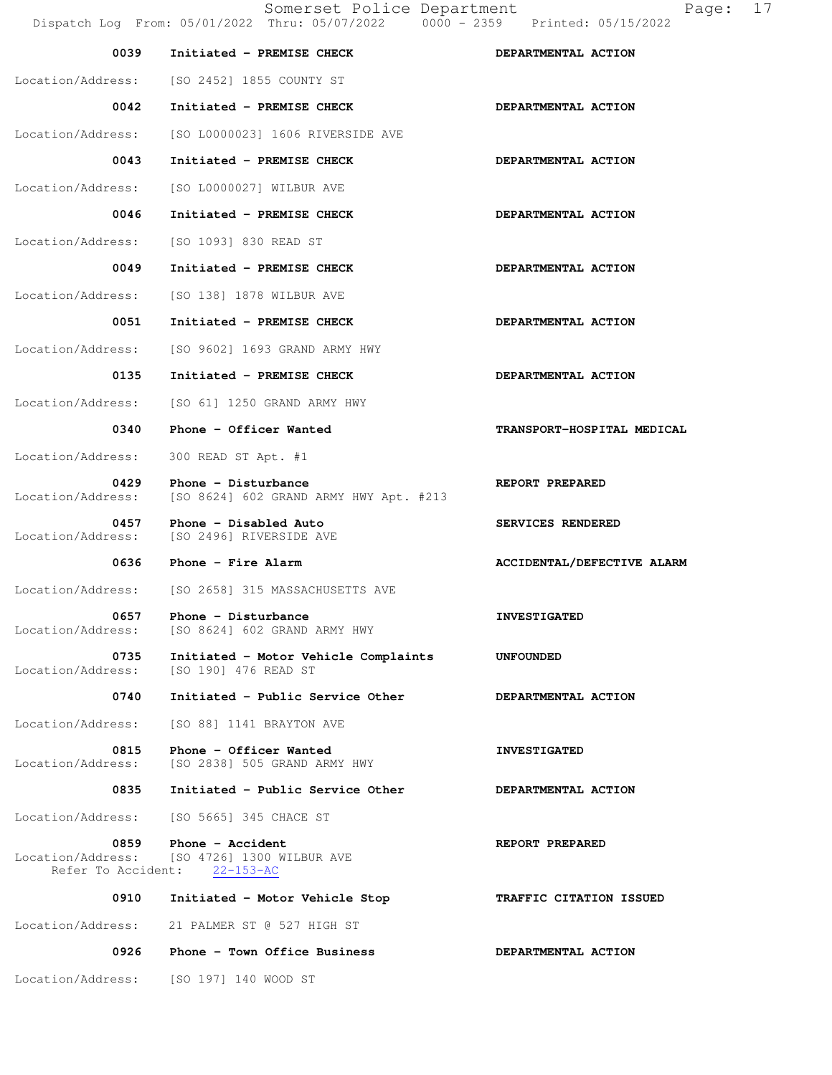Somerset Police Department Page: 17 Dispatch Log From: 05/01/2022 Thru: 05/07/2022 0000 - 2359 Printed: 05/15/2022 0039 Initiated - PREMISE CHECK **DEPARTMENTAL ACTION**  Location/Address: [SO 2452] 1855 COUNTY ST 0042 Initiated - PREMISE CHECK **DEPARTMENTAL ACTION**  Location/Address: [SO L0000023] 1606 RIVERSIDE AVE 0043 Initiated - PREMISE CHECK **DEPARTMENTAL ACTION**  Location/Address: [SO L0000027] WILBUR AVE 0046 Initiated - PREMISE CHECK **DEPARTMENTAL ACTION** Location/Address: [SO 1093] 830 READ ST 0049 Initiated - PREMISE CHECK **DEPARTMENTAL ACTION** Location/Address: [SO 138] 1878 WILBUR AVE 0051 Initiated - PREMISE CHECK **DEPARTMENTAL ACTION**  Location/Address: [SO 9602] 1693 GRAND ARMY HWY 0135 Initiated - PREMISE CHECK **DEPARTMENTAL ACTION**  Location/Address: [SO 61] 1250 GRAND ARMY HWY 0340 Phone - Officer Wanted **TRANSPORT-HOSPITAL MEDICAL**  Location/Address: 300 READ ST Apt. #1 0429 Phone - Disturbance **REPORT PREPARED**  Location/Address: [SO 8624] 602 GRAND ARMY HWY Apt. #213 0457 Phone - Disabled Auto **SERVICES RENDERED**  Location/Address: [SO 2496] RIVERSIDE AVE 0636 Phone - Fire Alarm **ACCIDENTAL/DEFECTIVE ALARM**  Location/Address: [SO 2658] 315 MASSACHUSETTS AVE **0657 Phone - Disturbance INVESTIGATED**<br>
Location/Address: [SO 8624] 602 GRAND ARMY HWY [SO 8624] 602 GRAND ARMY HWY **0735 Initiated - Motor Vehicle Complaints UNFOUNDED**<br>Location/Address: [SO 190] 476 READ ST [SO 190] 476 READ ST 0740 Initiated - Public Service Other **DEPARTMENTAL ACTION**  Location/Address: [SO 88] 1141 BRAYTON AVE 0815 Phone - Officer Wanted **INVESTIGATED** Location/Address: [SO 2838] 505 GRAND ARMY HWY 0835 Initiated - Public Service Other **DEPARTMENTAL ACTION**  Location/Address: [SO 5665] 345 CHACE ST 0859 Phone - Accident **REPORT PREPARED**  Location/Address: [SO 4726] 1300 WILBUR AVE Refer To Accident: 22-153-AC  **0910 Initiated - Motor Vehicle Stop TRAFFIC CITATION ISSUED**  Location/Address: 21 PALMER ST @ 527 HIGH ST 0926 Phone - Town Office Business **DEPARTMENTAL ACTION** Location/Address: [SO 197] 140 WOOD ST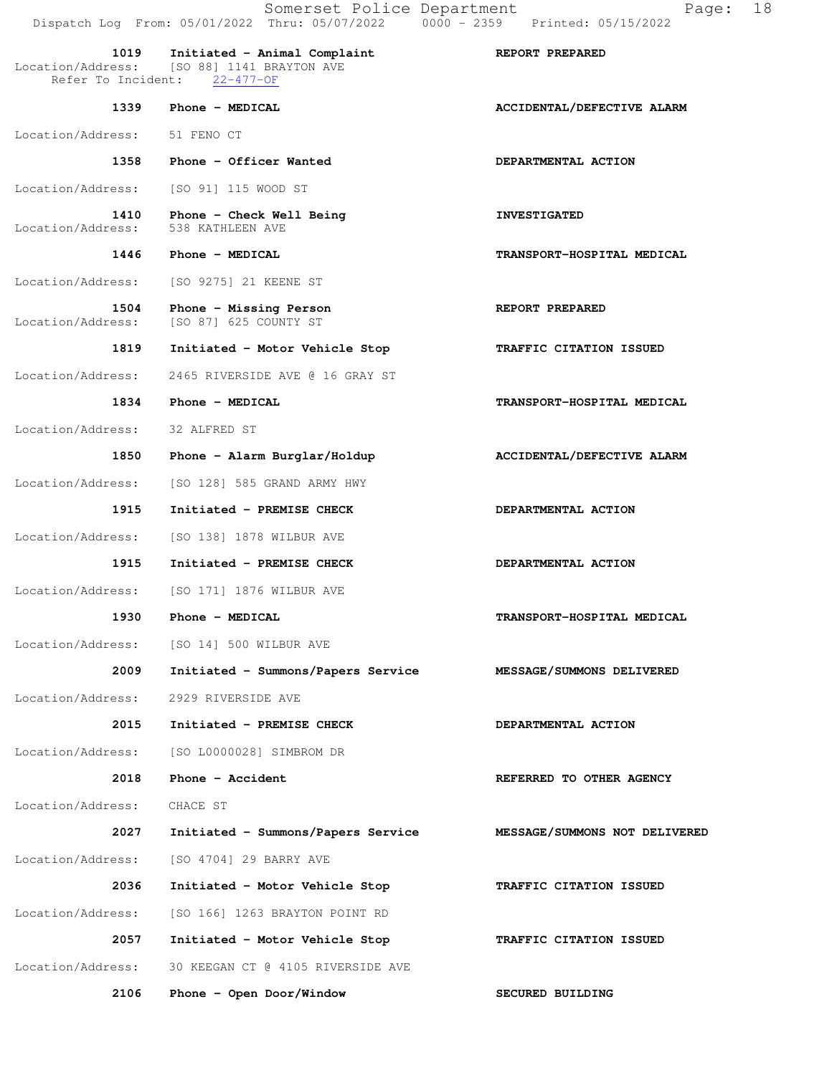Somerset Police Department Page: 18 Dispatch Log From: 05/01/2022 Thru: 05/07/2022 0000 - 2359 Printed: 05/15/2022  **1019 Initiated - Animal Complaint REPORT PREPARED**  Location/Address: [SO 88] 1141 BRAYTON AVE<br>Refer To Incident: 22-477-OF Refer To Incident: **1339 Phone - MEDICAL ACCIDENTAL/DEFECTIVE ALARM**  Location/Address: 51 FENO CT 1358 Phone - Officer Wanted **DEPARTMENTAL ACTION** Location/Address: [SO 91] 115 WOOD ST 1410 Phone - Check Well Being **INVESTIGATED**  Location/Address: 538 KATHLEEN AVE  **1446 Phone - MEDICAL TRANSPORT-HOSPITAL MEDICAL**  Location/Address: [SO 9275] 21 KEENE ST 1504 Phone - Missing Person **REPORT PREPARED**  Location/Address: [SO 87] 625 COUNTY ST  **1819 Initiated - Motor Vehicle Stop TRAFFIC CITATION ISSUED**  Location/Address: 2465 RIVERSIDE AVE @ 16 GRAY ST  **1834 Phone - MEDICAL TRANSPORT-HOSPITAL MEDICAL**  Location/Address: 32 ALFRED ST  **1850 Phone - Alarm Burglar/Holdup ACCIDENTAL/DEFECTIVE ALARM**  Location/Address: [SO 128] 585 GRAND ARMY HWY  **1915 Initiated - PREMISE CHECK DEPARTMENTAL ACTION**  Location/Address: [SO 138] 1878 WILBUR AVE 1915 Initiated - PREMISE CHECK **DEPARTMENTAL ACTION**  Location/Address: [SO 171] 1876 WILBUR AVE  **1930 Phone - MEDICAL TRANSPORT-HOSPITAL MEDICAL**  Location/Address: [SO 14] 500 WILBUR AVE  **2009 Initiated - Summons/Papers Service MESSAGE/SUMMONS DELIVERED**  Location/Address: 2929 RIVERSIDE AVE  **2015 Initiated - PREMISE CHECK DEPARTMENTAL ACTION**  Location/Address: [SO L0000028] SIMBROM DR **2018** Phone - Accident **REFERRED TO OTHER AGENCY**  Location/Address: CHACE ST  **2027 Initiated - Summons/Papers Service MESSAGE/SUMMONS NOT DELIVERED** Location/Address: [SO 4704] 29 BARRY AVE  **2036 Initiated - Motor Vehicle Stop TRAFFIC CITATION ISSUED**  Location/Address: [SO 166] 1263 BRAYTON POINT RD  **2057 Initiated - Motor Vehicle Stop TRAFFIC CITATION ISSUED**  Location/Address: 30 KEEGAN CT @ 4105 RIVERSIDE AVE  **2106 Phone - Open Door/Window SECURED BUILDING**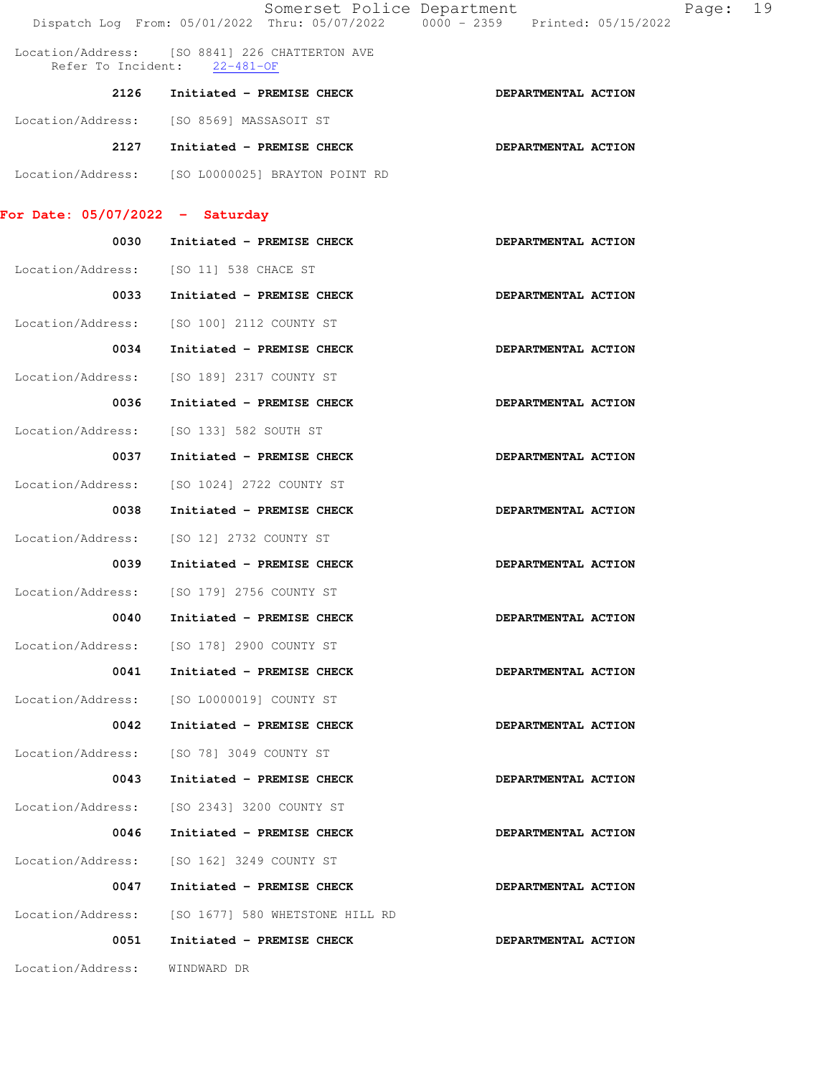|                                   | Somerset Police Department<br>Dispatch Log From: 05/01/2022 Thru: 05/07/2022 0000 - 2359 Printed: 05/15/2022 |                     | Page: | 19 |
|-----------------------------------|--------------------------------------------------------------------------------------------------------------|---------------------|-------|----|
|                                   | Location/Address: [SO 8841] 226 CHATTERTON AVE<br>Refer To Incident: 22-481-OF                               |                     |       |    |
|                                   | 2126 Initiated - PREMISE CHECK                                                                               | DEPARTMENTAL ACTION |       |    |
|                                   | Location/Address: [SO 8569] MASSASOIT ST                                                                     |                     |       |    |
|                                   | 2127 Initiated - PREMISE CHECK                                                                               | DEPARTMENTAL ACTION |       |    |
|                                   | Location/Address: [SO L0000025] BRAYTON POINT RD                                                             |                     |       |    |
|                                   |                                                                                                              |                     |       |    |
| For Date: $05/07/2022 -$ Saturday |                                                                                                              |                     |       |    |
| 0030                              | Initiated - PREMISE CHECK                                                                                    | DEPARTMENTAL ACTION |       |    |
|                                   | Location/Address: [SO 11] 538 CHACE ST                                                                       |                     |       |    |
| 0033                              | Initiated - PREMISE CHECK                                                                                    | DEPARTMENTAL ACTION |       |    |
| Location/Address:                 | [SO 100] 2112 COUNTY ST                                                                                      |                     |       |    |
| 0034                              | Initiated - PREMISE CHECK                                                                                    | DEPARTMENTAL ACTION |       |    |
| Location/Address:                 | [SO 189] 2317 COUNTY ST                                                                                      |                     |       |    |
| 0036                              | Initiated - PREMISE CHECK                                                                                    | DEPARTMENTAL ACTION |       |    |
| Location/Address:                 | [SO 133] 582 SOUTH ST                                                                                        |                     |       |    |
| 0037                              | Initiated - PREMISE CHECK                                                                                    | DEPARTMENTAL ACTION |       |    |
| Location/Address:                 | [SO 1024] 2722 COUNTY ST                                                                                     |                     |       |    |
| 0038                              | Initiated - PREMISE CHECK                                                                                    | DEPARTMENTAL ACTION |       |    |
| Location/Address:                 | [SO 12] 2732 COUNTY ST                                                                                       |                     |       |    |
| 0039                              | Initiated - PREMISE CHECK                                                                                    | DEPARTMENTAL ACTION |       |    |
| Location/Address:                 | [SO 179] 2756 COUNTY ST                                                                                      |                     |       |    |
| 0040                              | Initiated - PREMISE CHECK                                                                                    | DEPARTMENTAL ACTION |       |    |
| Location/Address:                 | [SO 178] 2900 COUNTY ST                                                                                      |                     |       |    |
| 0041                              | Initiated - PREMISE CHECK                                                                                    | DEPARTMENTAL ACTION |       |    |
| Location/Address:                 | [SO L0000019] COUNTY ST                                                                                      |                     |       |    |
| 0042                              | Initiated - PREMISE CHECK                                                                                    | DEPARTMENTAL ACTION |       |    |
| Location/Address:                 | [SO 78] 3049 COUNTY ST                                                                                       |                     |       |    |
| 0043                              | Initiated - PREMISE CHECK                                                                                    | DEPARTMENTAL ACTION |       |    |
| Location/Address:                 | [SO 2343] 3200 COUNTY ST                                                                                     |                     |       |    |
| 0046                              | Initiated - PREMISE CHECK                                                                                    | DEPARTMENTAL ACTION |       |    |
| Location/Address:                 | [SO 162] 3249 COUNTY ST                                                                                      |                     |       |    |
| 0047                              | Initiated - PREMISE CHECK                                                                                    | DEPARTMENTAL ACTION |       |    |
| Location/Address:                 | [SO 1677] 580 WHETSTONE HILL RD                                                                              |                     |       |    |
| 0051                              | Initiated - PREMISE CHECK                                                                                    | DEPARTMENTAL ACTION |       |    |
| Location/Address:                 | WINDWARD DR                                                                                                  |                     |       |    |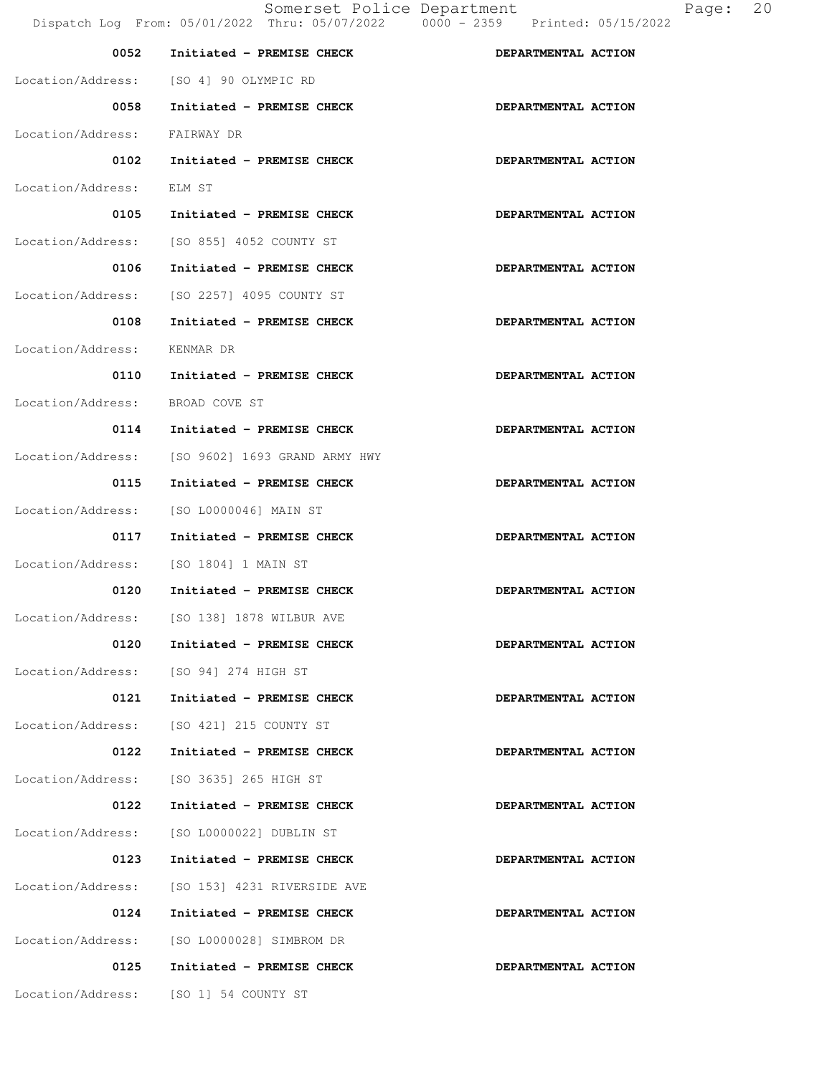| 0052                            | Initiated - PREMISE CHECK                     | DEPARTMENTAL ACTION |
|---------------------------------|-----------------------------------------------|---------------------|
|                                 | Location/Address: [SO 4] 90 OLYMPIC RD        |                     |
| 0058                            | Initiated - PREMISE CHECK                     | DEPARTMENTAL ACTION |
| Location/Address:               | FAIRWAY DR                                    |                     |
| 0102                            | Initiated - PREMISE CHECK                     | DEPARTMENTAL ACTION |
| Location/Address:               | ELM ST                                        |                     |
| 0105                            | Initiated - PREMISE CHECK                     | DEPARTMENTAL ACTION |
|                                 | Location/Address: [SO 855] 4052 COUNTY ST     |                     |
| 0106                            | Initiated - PREMISE CHECK                     | DEPARTMENTAL ACTION |
|                                 | Location/Address: [SO 2257] 4095 COUNTY ST    |                     |
| 0108                            | Initiated - PREMISE CHECK                     | DEPARTMENTAL ACTION |
| Location/Address:               | KENMAR DR                                     |                     |
| 0110                            | Initiated - PREMISE CHECK                     | DEPARTMENTAL ACTION |
| Location/Address: BROAD COVE ST |                                               |                     |
| 0114                            | Initiated - PREMISE CHECK                     | DEPARTMENTAL ACTION |
| Location/Address:               | [SO 9602] 1693 GRAND ARMY HWY                 |                     |
| 0115                            | Initiated - PREMISE CHECK                     | DEPARTMENTAL ACTION |
|                                 | Location/Address: [SO L0000046] MAIN ST       |                     |
| 0117                            | Initiated - PREMISE CHECK                     | DEPARTMENTAL ACTION |
|                                 | Location/Address: [SO 1804] 1 MAIN ST         |                     |
| 0120                            | Initiated - PREMISE CHECK                     | DEPARTMENTAL ACTION |
|                                 | Location/Address: [SO 138] 1878 WILBUR AVE    |                     |
| 0120                            | Initiated - PREMISE CHECK                     | DEPARTMENTAL ACTION |
|                                 | Location/Address: [SO 94] 274 HIGH ST         |                     |
|                                 | 0121 Initiated - PREMISE CHECK                | DEPARTMENTAL ACTION |
|                                 | Location/Address: [SO 421] 215 COUNTY ST      |                     |
| 0122                            | Initiated - PREMISE CHECK                     | DEPARTMENTAL ACTION |
|                                 | Location/Address: [SO 3635] 265 HIGH ST       |                     |
| 0122                            | Initiated - PREMISE CHECK                     | DEPARTMENTAL ACTION |
|                                 | Location/Address: [SO L0000022] DUBLIN ST     |                     |
| 0123                            | Initiated - PREMISE CHECK                     | DEPARTMENTAL ACTION |
|                                 | Location/Address: [SO 153] 4231 RIVERSIDE AVE |                     |
| 0124                            | Initiated - PREMISE CHECK                     | DEPARTMENTAL ACTION |
|                                 | Location/Address: [SO L0000028] SIMBROM DR    |                     |
| 0125                            | Initiated - PREMISE CHECK                     | DEPARTMENTAL ACTION |
|                                 | Location/Address: [SO 1] 54 COUNTY ST         |                     |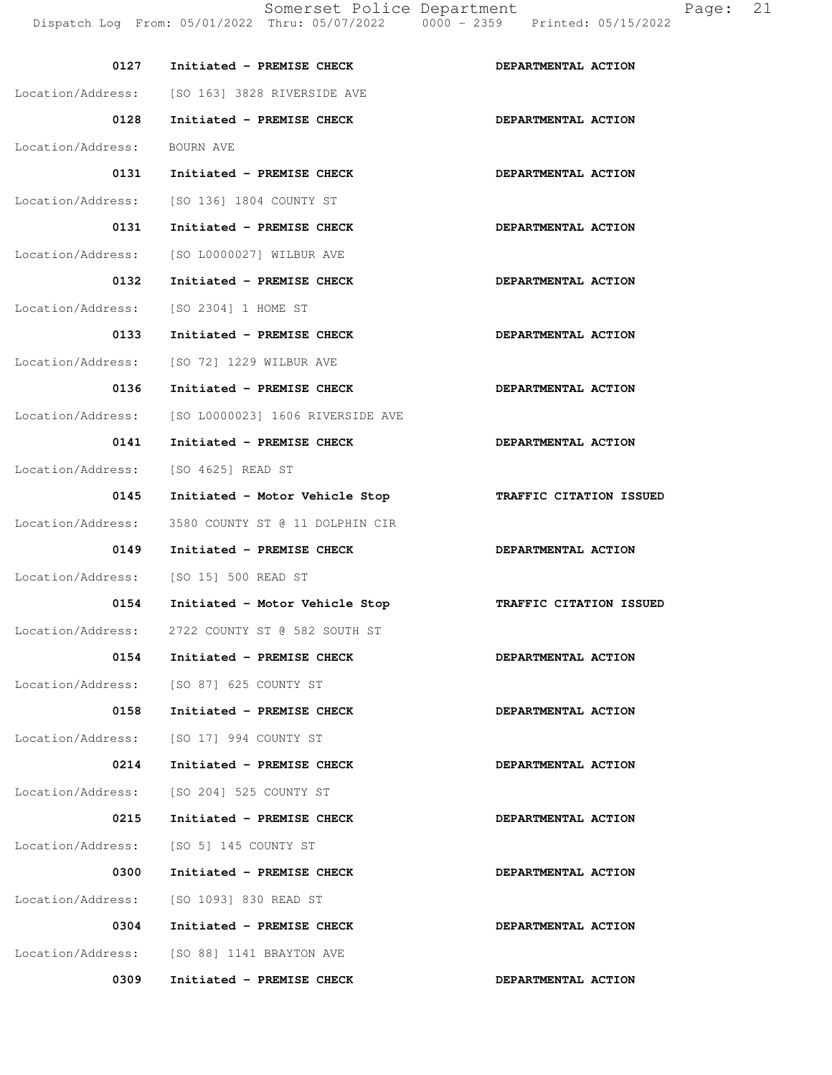Location/Address: [SO 163] 3828 RIVERSIDE AVE

0128 Initiated - PREMISE CHECK **DEPARTMENTAL ACTION**  Location/Address: BOURN AVE 0131 Initiated - PREMISE CHECK **DEPARTMENTAL ACTION** Location/Address: [SO 136] 1804 COUNTY ST 0131 Initiated - PREMISE CHECK **DEPARTMENTAL ACTION** Location/Address: [SO L0000027] WILBUR AVE 0132 Initiated - PREMISE CHECK **DEPARTMENTAL ACTION** Location/Address: [SO 2304] 1 HOME ST 0133 Initiated - PREMISE CHECK **DEPARTMENTAL ACTION**  Location/Address: [SO 72] 1229 WILBUR AVE 0136 Initiated - PREMISE CHECK **DEPARTMENTAL ACTION** Location/Address: [SO L0000023] 1606 RIVERSIDE AVE 0141 Initiated - PREMISE CHECK **DEPARTMENTAL ACTION** Location/Address: [SO 4625] READ ST  **0145 Initiated - Motor Vehicle Stop TRAFFIC CITATION ISSUED**  Location/Address: 3580 COUNTY ST @ 11 DOLPHIN CIR 0149 Initiated - PREMISE CHECK **DEPARTMENTAL ACTION**  Location/Address: [SO 15] 500 READ ST  **0154 Initiated - Motor Vehicle Stop TRAFFIC CITATION ISSUED**  Location/Address: 2722 COUNTY ST @ 582 SOUTH ST 0154 Initiated - PREMISE CHECK **DEPARTMENTAL ACTION** Location/Address: [SO 87] 625 COUNTY ST 0158 Initiated - PREMISE CHECK **DEPARTMENTAL ACTION**  Location/Address: [SO 17] 994 COUNTY ST 0214 Initiated - PREMISE CHECK **DEPARTMENTAL ACTION** Location/Address: [SO 204] 525 COUNTY ST 0215 Initiated - PREMISE CHECK **DEPARTMENTAL ACTION** Location/Address: [SO 5] 145 COUNTY ST 0300 Initiated - PREMISE CHECK **DEPARTMENTAL ACTION**  Location/Address: [SO 1093] 830 READ ST 0304 Initiated - PREMISE CHECK **DEPARTMENTAL ACTION** Location/Address: [SO 88] 1141 BRAYTON AVE

0309 Initiated - PREMISE CHECK **DEPARTMENTAL ACTION**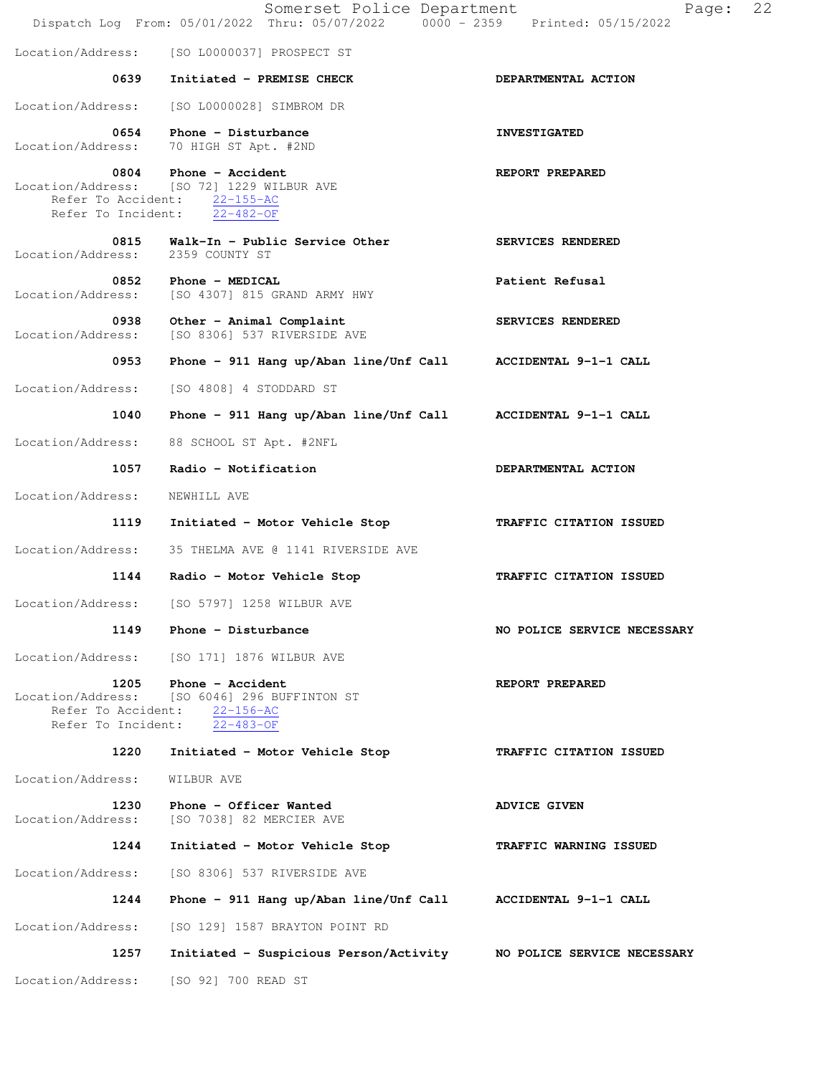|                                          | Somerset Police Department<br>Dispatch Log From: 05/01/2022 Thru: 05/07/2022 0000 - 2359 Printed: 05/15/2022                  | 22<br>Page:                 |
|------------------------------------------|-------------------------------------------------------------------------------------------------------------------------------|-----------------------------|
| Location/Address:                        | [SO L0000037] PROSPECT ST                                                                                                     |                             |
| 0639                                     | Initiated - PREMISE CHECK                                                                                                     | DEPARTMENTAL ACTION         |
| Location/Address:                        | [SO L0000028] SIMBROM DR                                                                                                      |                             |
| 0654<br>Location/Address:                | Phone - Disturbance<br>70 HIGH ST Apt. #2ND                                                                                   | <b>INVESTIGATED</b>         |
| 0804                                     | Phone - Accident<br>Location/Address: [SO 72] 1229 WILBUR AVE<br>Refer To Accident: 22-155-AC<br>Refer To Incident: 22-482-OF | REPORT PREPARED             |
| 0815<br>Location/Address:                | Walk-In - Public Service Other<br>2359 COUNTY ST                                                                              | SERVICES RENDERED           |
| 0852<br>Location/Address:                | Phone - MEDICAL<br>[SO 4307] 815 GRAND ARMY HWY                                                                               | Patient Refusal             |
| 0938<br>Location/Address:                | Other - Animal Complaint<br>[SO 8306] 537 RIVERSIDE AVE                                                                       | SERVICES RENDERED           |
| 0953                                     | Phone - 911 Hang up/Aban line/Unf Call                                                                                        | ACCIDENTAL 9-1-1 CALL       |
| Location/Address:                        | [SO 4808] 4 STODDARD ST                                                                                                       |                             |
| 1040                                     | Phone - 911 Hang up/Aban line/Unf Call ACCIDENTAL 9-1-1 CALL                                                                  |                             |
| Location/Address:                        | 88 SCHOOL ST Apt. #2NFL                                                                                                       |                             |
| 1057                                     | Radio - Notification                                                                                                          | DEPARTMENTAL ACTION         |
| Location/Address:                        | NEWHILL AVE                                                                                                                   |                             |
| 1119                                     | Initiated - Motor Vehicle Stop                                                                                                | TRAFFIC CITATION ISSUED     |
| Location/Address:                        | 35 THELMA AVE @ 1141 RIVERSIDE AVE                                                                                            |                             |
| 1144                                     | Radio - Motor Vehicle Stop                                                                                                    | TRAFFIC CITATION ISSUED     |
| Location/Address:                        | [SO 5797] 1258 WILBUR AVE                                                                                                     |                             |
|                                          | 1149 Phone - Disturbance                                                                                                      | NO POLICE SERVICE NECESSARY |
|                                          | Location/Address: [SO 171] 1876 WILBUR AVE                                                                                    |                             |
| Refer To Accident:<br>Refer To Incident: | 1205 Phone - Accident<br>Location/Address: [SO 6046] 296 BUFFINTON ST<br>$22 - 156 - AC$<br>$22 - 483 - OF$                   | REPORT PREPARED             |
| 1220                                     | Initiated - Motor Vehicle Stop                                                                                                | TRAFFIC CITATION ISSUED     |
| Location/Address:                        | WILBUR AVE                                                                                                                    |                             |
| 1230<br>Location/Address:                | Phone - Officer Wanted<br>[SO 7038] 82 MERCIER AVE                                                                            | <b>ADVICE GIVEN</b>         |
| 1244                                     | Initiated - Motor Vehicle Stop                                                                                                | TRAFFIC WARNING ISSUED      |
| Location/Address:                        | [SO 8306] 537 RIVERSIDE AVE                                                                                                   |                             |
| 1244                                     | Phone - 911 Hang up/Aban line/Unf Call                                                                                        | ACCIDENTAL 9-1-1 CALL       |
| Location/Address:                        | [SO 129] 1587 BRAYTON POINT RD                                                                                                |                             |
| 1257                                     | Initiated - Suspicious Person/Activity MO POLICE SERVICE NECESSARY                                                            |                             |
| Location/Address:                        | [SO 92] 700 READ ST                                                                                                           |                             |